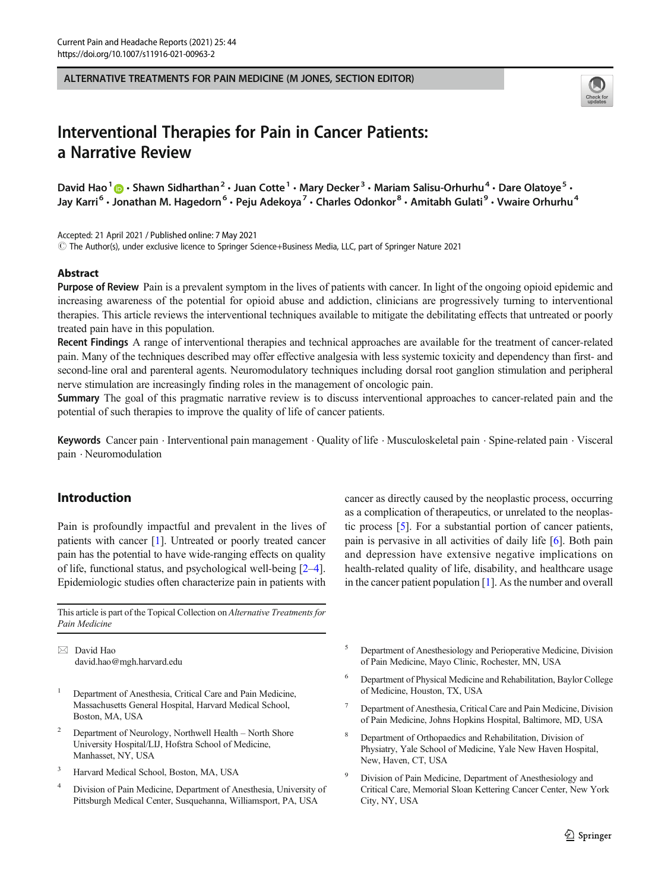ALTERNATIVE TREATMENTS FOR PAIN MEDICINE (M JONES, SECTION EDITOR)



# Interventional Therapies for Pain in Cancer Patients: a Narrative Review

David Hao<sup>1</sup>  $\odot$  · Shawn Sidharthan<sup>2</sup> · Juan Cotte<sup>1</sup> · Mary Decker<sup>3</sup> · Mariam Salisu-Orhurhu<sup>4</sup> · Dare Olatoye<sup>5</sup> · Jay Karri<sup>6</sup> · Jonathan M. Hagedorn<sup>6</sup> · Peju Adekoya<sup>7</sup> · Charles Odonkor<sup>8</sup> · Amitabh Gulati<sup>9</sup> · Vwaire Orhurhu<sup>4</sup>

Accepted: 21 April 2021 / Published online: 7 May 2021

 $\degree$  The Author(s), under exclusive licence to Springer Science+Business Media, LLC, part of Springer Nature 2021

## Abstract

Purpose of Review Pain is a prevalent symptom in the lives of patients with cancer. In light of the ongoing opioid epidemic and increasing awareness of the potential for opioid abuse and addiction, clinicians are progressively turning to interventional therapies. This article reviews the interventional techniques available to mitigate the debilitating effects that untreated or poorly treated pain have in this population.

Recent Findings A range of interventional therapies and technical approaches are available for the treatment of cancer-related pain. Many of the techniques described may offer effective analgesia with less systemic toxicity and dependency than first- and second-line oral and parenteral agents. Neuromodulatory techniques including dorsal root ganglion stimulation and peripheral nerve stimulation are increasingly finding roles in the management of oncologic pain.

Summary The goal of this pragmatic narrative review is to discuss interventional approaches to cancer-related pain and the potential of such therapies to improve the quality of life of cancer patients.

Keywords Cancer pain . Interventional pain management . Quality of life . Musculoskeletal pain . Spine-related pain . Visceral pain . Neuromodulation

# Introduction

Pain is profoundly impactful and prevalent in the lives of patients with cancer [\[1](#page-12-0)]. Untreated or poorly treated cancer pain has the potential to have wide-ranging effects on quality of life, functional status, and psychological well-being [[2](#page-12-0)–[4\]](#page-12-0). Epidemiologic studies often characterize pain in patients with

This article is part of the Topical Collection on Alternative Treatments for Pain Medicine

 $\boxtimes$  David Hao [david.hao@mgh.harvard.edu](mailto:david.hao@mgh.harvard.edu)

- <sup>1</sup> Department of Anesthesia, Critical Care and Pain Medicine, Massachusetts General Hospital, Harvard Medical School, Boston, MA, USA
- <sup>2</sup> Department of Neurology, Northwell Health North Shore University Hospital/LIJ, Hofstra School of Medicine, Manhasset, NY, USA
- <sup>3</sup> Harvard Medical School, Boston, MA, USA
- <sup>4</sup> Division of Pain Medicine, Department of Anesthesia, University of Pittsburgh Medical Center, Susquehanna, Williamsport, PA, USA

cancer as directly caused by the neoplastic process, occurring as a complication of therapeutics, or unrelated to the neoplastic process [\[5](#page-12-0)]. For a substantial portion of cancer patients, pain is pervasive in all activities of daily life [\[6](#page-12-0)]. Both pain and depression have extensive negative implications on health-related quality of life, disability, and healthcare usage in the cancer patient population [\[1\]](#page-12-0). As the number and overall

- <sup>5</sup> Department of Anesthesiology and Perioperative Medicine, Division of Pain Medicine, Mayo Clinic, Rochester, MN, USA
- <sup>6</sup> Department of Physical Medicine and Rehabilitation, Baylor College of Medicine, Houston, TX, USA
- <sup>7</sup> Department of Anesthesia, Critical Care and Pain Medicine, Division of Pain Medicine, Johns Hopkins Hospital, Baltimore, MD, USA
- <sup>8</sup> Department of Orthopaedics and Rehabilitation, Division of Physiatry, Yale School of Medicine, Yale New Haven Hospital, New, Haven, CT, USA
- Division of Pain Medicine, Department of Anesthesiology and Critical Care, Memorial Sloan Kettering Cancer Center, New York City, NY, USA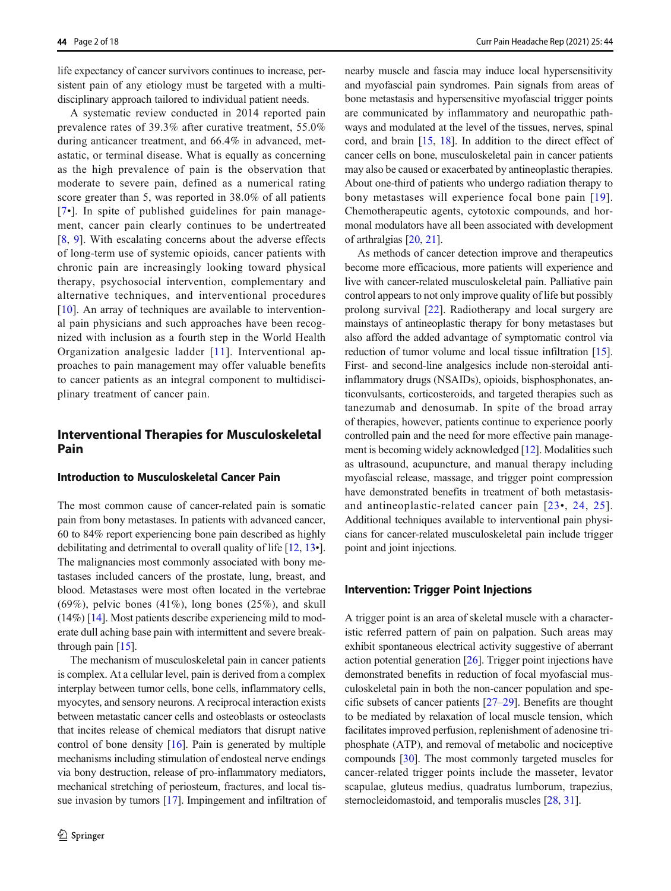life expectancy of cancer survivors continues to increase, persistent pain of any etiology must be targeted with a multidisciplinary approach tailored to individual patient needs.

A systematic review conducted in 2014 reported pain prevalence rates of 39.3% after curative treatment, 55.0% during anticancer treatment, and 66.4% in advanced, metastatic, or terminal disease. What is equally as concerning as the high prevalence of pain is the observation that moderate to severe pain, defined as a numerical rating score greater than 5, was reported in 38.0% of all patients [\[7](#page-12-0)•]. In spite of published guidelines for pain management, cancer pain clearly continues to be undertreated [\[8](#page-12-0), [9\]](#page-12-0). With escalating concerns about the adverse effects of long-term use of systemic opioids, cancer patients with chronic pain are increasingly looking toward physical therapy, psychosocial intervention, complementary and alternative techniques, and interventional procedures [\[10\]](#page-12-0). An array of techniques are available to interventional pain physicians and such approaches have been recognized with inclusion as a fourth step in the World Health Organization analgesic ladder [[11\]](#page-12-0). Interventional approaches to pain management may offer valuable benefits to cancer patients as an integral component to multidisciplinary treatment of cancer pain.

# Interventional Therapies for Musculoskeletal Pain

#### Introduction to Musculoskeletal Cancer Pain

The most common cause of cancer-related pain is somatic pain from bony metastases. In patients with advanced cancer, 60 to 84% report experiencing bone pain described as highly debilitating and detrimental to overall quality of life [[12,](#page-12-0) [13](#page-12-0)•]. The malignancies most commonly associated with bony metastases included cancers of the prostate, lung, breast, and blood. Metastases were most often located in the vertebrae  $(69\%)$ , pelvic bones  $(41\%)$ , long bones  $(25\%)$ , and skull (14%) [[14](#page-12-0)]. Most patients describe experiencing mild to moderate dull aching base pain with intermittent and severe breakthrough pain [\[15](#page-12-0)].

The mechanism of musculoskeletal pain in cancer patients is complex. At a cellular level, pain is derived from a complex interplay between tumor cells, bone cells, inflammatory cells, myocytes, and sensory neurons. A reciprocal interaction exists between metastatic cancer cells and osteoblasts or osteoclasts that incites release of chemical mediators that disrupt native control of bone density [[16](#page-12-0)]. Pain is generated by multiple mechanisms including stimulation of endosteal nerve endings via bony destruction, release of pro-inflammatory mediators, mechanical stretching of periosteum, fractures, and local tissue invasion by tumors [[17\]](#page-12-0). Impingement and infiltration of nearby muscle and fascia may induce local hypersensitivity and myofascial pain syndromes. Pain signals from areas of bone metastasis and hypersensitive myofascial trigger points are communicated by inflammatory and neuropathic pathways and modulated at the level of the tissues, nerves, spinal cord, and brain [[15](#page-12-0), [18\]](#page-12-0). In addition to the direct effect of cancer cells on bone, musculoskeletal pain in cancer patients may also be caused or exacerbated by antineoplastic therapies. About one-third of patients who undergo radiation therapy to bony metastases will experience focal bone pain [[19](#page-12-0)]. Chemotherapeutic agents, cytotoxic compounds, and hormonal modulators have all been associated with development of arthralgias [\[20,](#page-12-0) [21\]](#page-12-0).

As methods of cancer detection improve and therapeutics become more efficacious, more patients will experience and live with cancer-related musculoskeletal pain. Palliative pain control appears to not only improve quality of life but possibly prolong survival [\[22](#page-12-0)]. Radiotherapy and local surgery are mainstays of antineoplastic therapy for bony metastases but also afford the added advantage of symptomatic control via reduction of tumor volume and local tissue infiltration [[15\]](#page-12-0). First- and second-line analgesics include non-steroidal antiinflammatory drugs (NSAIDs), opioids, bisphosphonates, anticonvulsants, corticosteroids, and targeted therapies such as tanezumab and denosumab. In spite of the broad array of therapies, however, patients continue to experience poorly controlled pain and the need for more effective pain management is becoming widely acknowledged [[12\]](#page-12-0). Modalities such as ultrasound, acupuncture, and manual therapy including myofascial release, massage, and trigger point compression have demonstrated benefits in treatment of both metastasisand antineoplastic-related cancer pain [[23](#page-12-0)•, [24,](#page-12-0) [25\]](#page-12-0). Additional techniques available to interventional pain physicians for cancer-related musculoskeletal pain include trigger point and joint injections.

## Intervention: Trigger Point Injections

A trigger point is an area of skeletal muscle with a characteristic referred pattern of pain on palpation. Such areas may exhibit spontaneous electrical activity suggestive of aberrant action potential generation  $[26]$  $[26]$  $[26]$ . Trigger point injections have demonstrated benefits in reduction of focal myofascial musculoskeletal pain in both the non-cancer population and specific subsets of cancer patients [[27](#page-13-0)–[29](#page-13-0)]. Benefits are thought to be mediated by relaxation of local muscle tension, which facilitates improved perfusion, replenishment of adenosine triphosphate (ATP), and removal of metabolic and nociceptive compounds [[30\]](#page-13-0). The most commonly targeted muscles for cancer-related trigger points include the masseter, levator scapulae, gluteus medius, quadratus lumborum, trapezius, sternocleidomastoid, and temporalis muscles [[28,](#page-13-0) [31\]](#page-13-0).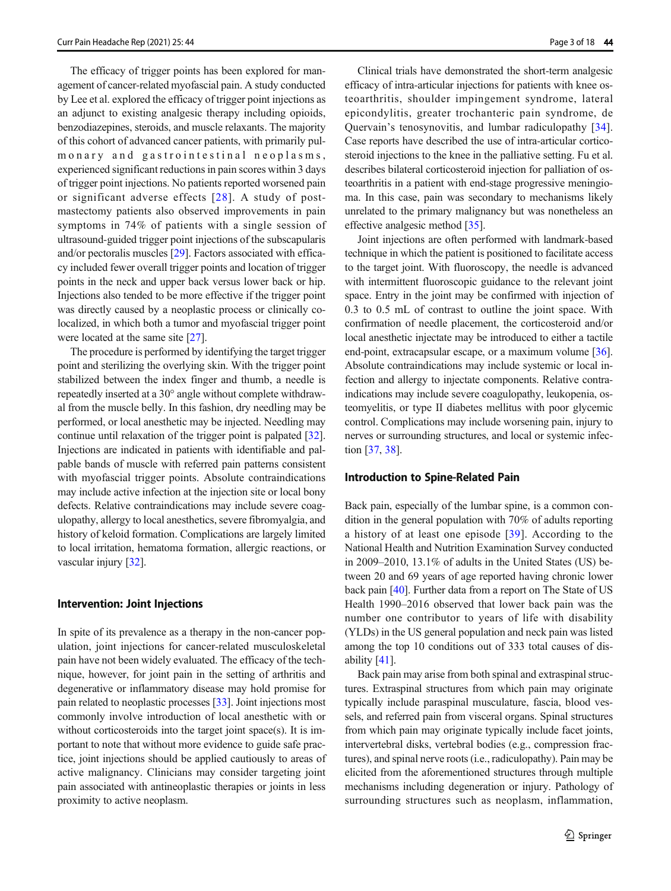The efficacy of trigger points has been explored for management of cancer-related myofascial pain. A study conducted by Lee et al. explored the efficacy of trigger point injections as an adjunct to existing analgesic therapy including opioids, benzodiazepines, steroids, and muscle relaxants. The majority of this cohort of advanced cancer patients, with primarily pulmonary and gastrointestinal neoplasms, experienced significant reductions in pain scores within 3 days of trigger point injections. No patients reported worsened pain or significant adverse effects [[28\]](#page-13-0). A study of postmastectomy patients also observed improvements in pain symptoms in 74% of patients with a single session of ultrasound-guided trigger point injections of the subscapularis and/or pectoralis muscles [\[29](#page-13-0)]. Factors associated with efficacy included fewer overall trigger points and location of trigger points in the neck and upper back versus lower back or hip. Injections also tended to be more effective if the trigger point was directly caused by a neoplastic process or clinically colocalized, in which both a tumor and myofascial trigger point were located at the same site [[27](#page-13-0)].

The procedure is performed by identifying the target trigger point and sterilizing the overlying skin. With the trigger point stabilized between the index finger and thumb, a needle is repeatedly inserted at a 30° angle without complete withdrawal from the muscle belly. In this fashion, dry needling may be performed, or local anesthetic may be injected. Needling may continue until relaxation of the trigger point is palpated [[32\]](#page-13-0). Injections are indicated in patients with identifiable and palpable bands of muscle with referred pain patterns consistent with myofascial trigger points. Absolute contraindications may include active infection at the injection site or local bony defects. Relative contraindications may include severe coagulopathy, allergy to local anesthetics, severe fibromyalgia, and history of keloid formation. Complications are largely limited to local irritation, hematoma formation, allergic reactions, or vascular injury [[32](#page-13-0)].

#### Intervention: Joint Injections

In spite of its prevalence as a therapy in the non-cancer population, joint injections for cancer-related musculoskeletal pain have not been widely evaluated. The efficacy of the technique, however, for joint pain in the setting of arthritis and degenerative or inflammatory disease may hold promise for pain related to neoplastic processes [[33\]](#page-13-0). Joint injections most commonly involve introduction of local anesthetic with or without corticosteroids into the target joint space(s). It is important to note that without more evidence to guide safe practice, joint injections should be applied cautiously to areas of active malignancy. Clinicians may consider targeting joint pain associated with antineoplastic therapies or joints in less proximity to active neoplasm.

Clinical trials have demonstrated the short-term analgesic efficacy of intra-articular injections for patients with knee osteoarthritis, shoulder impingement syndrome, lateral epicondylitis, greater trochanteric pain syndrome, de Quervain's tenosynovitis, and lumbar radiculopathy [\[34](#page-13-0)]. Case reports have described the use of intra-articular corticosteroid injections to the knee in the palliative setting. Fu et al. describes bilateral corticosteroid injection for palliation of osteoarthritis in a patient with end-stage progressive meningioma. In this case, pain was secondary to mechanisms likely unrelated to the primary malignancy but was nonetheless an effective analgesic method [[35](#page-13-0)].

Joint injections are often performed with landmark-based technique in which the patient is positioned to facilitate access to the target joint. With fluoroscopy, the needle is advanced with intermittent fluoroscopic guidance to the relevant joint space. Entry in the joint may be confirmed with injection of 0.3 to 0.5 mL of contrast to outline the joint space. With confirmation of needle placement, the corticosteroid and/or local anesthetic injectate may be introduced to either a tactile end-point, extracapsular escape, or a maximum volume [[36\]](#page-13-0). Absolute contraindications may include systemic or local infection and allergy to injectate components. Relative contraindications may include severe coagulopathy, leukopenia, osteomyelitis, or type II diabetes mellitus with poor glycemic control. Complications may include worsening pain, injury to nerves or surrounding structures, and local or systemic infection [\[37,](#page-13-0) [38\]](#page-13-0).

## Introduction to Spine-Related Pain

Back pain, especially of the lumbar spine, is a common condition in the general population with 70% of adults reporting a history of at least one episode [[39](#page-13-0)]. According to the National Health and Nutrition Examination Survey conducted in 2009–2010, 13.1% of adults in the United States (US) between 20 and 69 years of age reported having chronic lower back pain [\[40\]](#page-13-0). Further data from a report on The State of US Health 1990–2016 observed that lower back pain was the number one contributor to years of life with disability (YLDs) in the US general population and neck pain was listed among the top 10 conditions out of 333 total causes of disability [\[41](#page-13-0)].

Back pain may arise from both spinal and extraspinal structures. Extraspinal structures from which pain may originate typically include paraspinal musculature, fascia, blood vessels, and referred pain from visceral organs. Spinal structures from which pain may originate typically include facet joints, intervertebral disks, vertebral bodies (e.g., compression fractures), and spinal nerve roots (i.e., radiculopathy). Pain may be elicited from the aforementioned structures through multiple mechanisms including degeneration or injury. Pathology of surrounding structures such as neoplasm, inflammation,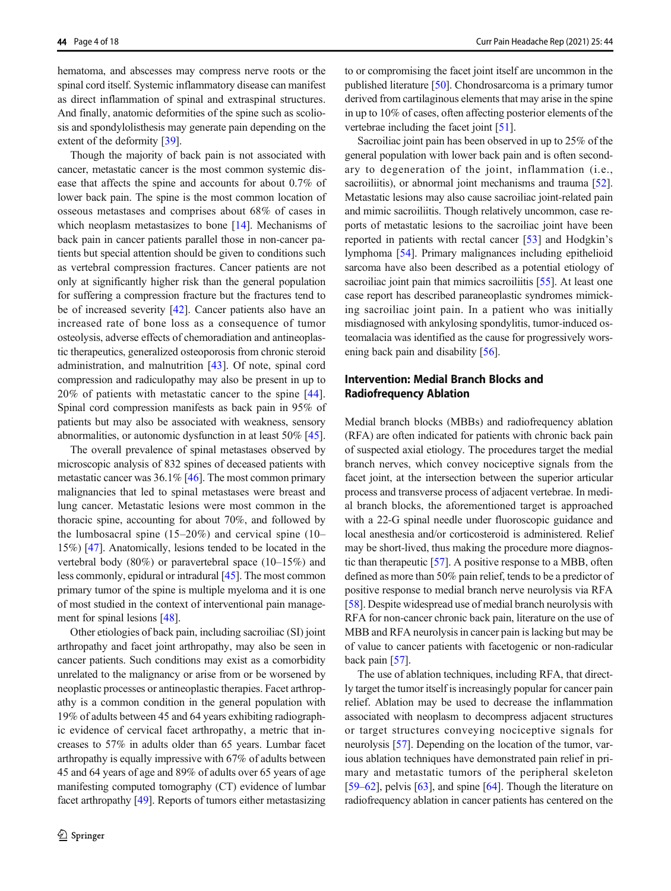hematoma, and abscesses may compress nerve roots or the spinal cord itself. Systemic inflammatory disease can manifest as direct inflammation of spinal and extraspinal structures. And finally, anatomic deformities of the spine such as scoliosis and spondylolisthesis may generate pain depending on the extent of the deformity [\[39\]](#page-13-0).

Though the majority of back pain is not associated with cancer, metastatic cancer is the most common systemic disease that affects the spine and accounts for about 0.7% of lower back pain. The spine is the most common location of osseous metastases and comprises about 68% of cases in which neoplasm metastasizes to bone [[14\]](#page-12-0). Mechanisms of back pain in cancer patients parallel those in non-cancer patients but special attention should be given to conditions such as vertebral compression fractures. Cancer patients are not only at significantly higher risk than the general population for suffering a compression fracture but the fractures tend to be of increased severity [[42\]](#page-13-0). Cancer patients also have an increased rate of bone loss as a consequence of tumor osteolysis, adverse effects of chemoradiation and antineoplastic therapeutics, generalized osteoporosis from chronic steroid administration, and malnutrition [[43\]](#page-13-0). Of note, spinal cord compression and radiculopathy may also be present in up to 20% of patients with metastatic cancer to the spine [\[44](#page-13-0)]. Spinal cord compression manifests as back pain in 95% of patients but may also be associated with weakness, sensory abnormalities, or autonomic dysfunction in at least 50% [[45\]](#page-13-0).

The overall prevalence of spinal metastases observed by microscopic analysis of 832 spines of deceased patients with metastatic cancer was 36.1% [[46\]](#page-13-0). The most common primary malignancies that led to spinal metastases were breast and lung cancer. Metastatic lesions were most common in the thoracic spine, accounting for about 70%, and followed by the lumbosacral spine  $(15-20\%)$  and cervical spine  $(10-$ 15%) [\[47\]](#page-13-0). Anatomically, lesions tended to be located in the vertebral body (80%) or paravertebral space (10–15%) and less commonly, epidural or intradural [[45](#page-13-0)]. The most common primary tumor of the spine is multiple myeloma and it is one of most studied in the context of interventional pain management for spinal lesions [\[48\]](#page-13-0).

Other etiologies of back pain, including sacroiliac (SI) joint arthropathy and facet joint arthropathy, may also be seen in cancer patients. Such conditions may exist as a comorbidity unrelated to the malignancy or arise from or be worsened by neoplastic processes or antineoplastic therapies. Facet arthropathy is a common condition in the general population with 19% of adults between 45 and 64 years exhibiting radiographic evidence of cervical facet arthropathy, a metric that increases to 57% in adults older than 65 years. Lumbar facet arthropathy is equally impressive with 67% of adults between 45 and 64 years of age and 89% of adults over 65 years of age manifesting computed tomography (CT) evidence of lumbar facet arthropathy [\[49\]](#page-13-0). Reports of tumors either metastasizing to or compromising the facet joint itself are uncommon in the published literature [\[50\]](#page-13-0). Chondrosarcoma is a primary tumor derived from cartilaginous elements that may arise in the spine in up to 10% of cases, often affecting posterior elements of the vertebrae including the facet joint [[51\]](#page-13-0).

Sacroiliac joint pain has been observed in up to 25% of the general population with lower back pain and is often secondary to degeneration of the joint, inflammation (i.e., sacroiliitis), or abnormal joint mechanisms and trauma [[52\]](#page-13-0). Metastatic lesions may also cause sacroiliac joint-related pain and mimic sacroiliitis. Though relatively uncommon, case reports of metastatic lesions to the sacroiliac joint have been reported in patients with rectal cancer [[53](#page-13-0)] and Hodgkin's lymphoma [\[54\]](#page-13-0). Primary malignances including epithelioid sarcoma have also been described as a potential etiology of sacroiliac joint pain that mimics sacroiliitis [\[55](#page-13-0)]. At least one case report has described paraneoplastic syndromes mimicking sacroiliac joint pain. In a patient who was initially misdiagnosed with ankylosing spondylitis, tumor-induced osteomalacia was identified as the cause for progressively worsening back pain and disability [\[56\]](#page-13-0).

# Intervention: Medial Branch Blocks and Radiofrequency Ablation

Medial branch blocks (MBBs) and radiofrequency ablation (RFA) are often indicated for patients with chronic back pain of suspected axial etiology. The procedures target the medial branch nerves, which convey nociceptive signals from the facet joint, at the intersection between the superior articular process and transverse process of adjacent vertebrae. In medial branch blocks, the aforementioned target is approached with a 22-G spinal needle under fluoroscopic guidance and local anesthesia and/or corticosteroid is administered. Relief may be short-lived, thus making the procedure more diagnostic than therapeutic [\[57\]](#page-13-0). A positive response to a MBB, often defined as more than 50% pain relief, tends to be a predictor of positive response to medial branch nerve neurolysis via RFA [\[58](#page-13-0)]. Despite widespread use of medial branch neurolysis with RFA for non-cancer chronic back pain, literature on the use of MBB and RFA neurolysis in cancer pain is lacking but may be of value to cancer patients with facetogenic or non-radicular back pain [[57](#page-13-0)].

The use of ablation techniques, including RFA, that directly target the tumor itself is increasingly popular for cancer pain relief. Ablation may be used to decrease the inflammation associated with neoplasm to decompress adjacent structures or target structures conveying nociceptive signals for neurolysis [[57](#page-13-0)]. Depending on the location of the tumor, various ablation techniques have demonstrated pain relief in primary and metastatic tumors of the peripheral skeleton [\[59](#page-13-0)–[62\]](#page-14-0), pelvis [[63\]](#page-14-0), and spine [[64\]](#page-14-0). Though the literature on radiofrequency ablation in cancer patients has centered on the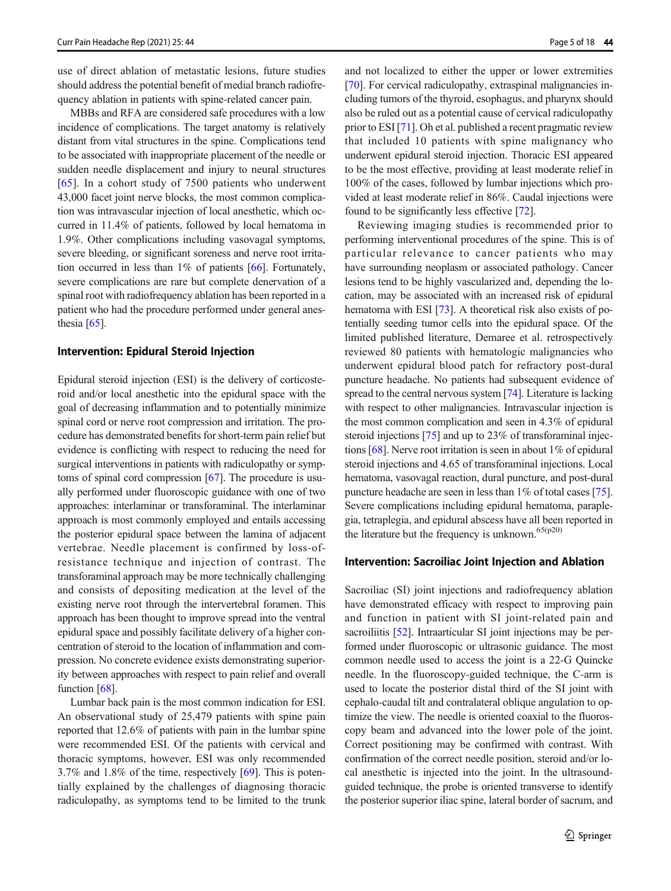use of direct ablation of metastatic lesions, future studies should address the potential benefit of medial branch radiofrequency ablation in patients with spine-related cancer pain.

MBBs and RFA are considered safe procedures with a low incidence of complications. The target anatomy is relatively distant from vital structures in the spine. Complications tend to be associated with inappropriate placement of the needle or sudden needle displacement and injury to neural structures [\[65\]](#page-14-0). In a cohort study of 7500 patients who underwent 43,000 facet joint nerve blocks, the most common complication was intravascular injection of local anesthetic, which occurred in 11.4% of patients, followed by local hematoma in 1.9%. Other complications including vasovagal symptoms, severe bleeding, or significant soreness and nerve root irritation occurred in less than 1% of patients [[66\]](#page-14-0). Fortunately, severe complications are rare but complete denervation of a spinal root with radiofrequency ablation has been reported in a patient who had the procedure performed under general anesthesia [\[65\]](#page-14-0).

## Intervention: Epidural Steroid Injection

Epidural steroid injection (ESI) is the delivery of corticosteroid and/or local anesthetic into the epidural space with the goal of decreasing inflammation and to potentially minimize spinal cord or nerve root compression and irritation. The procedure has demonstrated benefits for short-term pain relief but evidence is conflicting with respect to reducing the need for surgical interventions in patients with radiculopathy or symptoms of spinal cord compression [\[67\]](#page-14-0). The procedure is usually performed under fluoroscopic guidance with one of two approaches: interlaminar or transforaminal. The interlaminar approach is most commonly employed and entails accessing the posterior epidural space between the lamina of adjacent vertebrae. Needle placement is confirmed by loss-ofresistance technique and injection of contrast. The transforaminal approach may be more technically challenging and consists of depositing medication at the level of the existing nerve root through the intervertebral foramen. This approach has been thought to improve spread into the ventral epidural space and possibly facilitate delivery of a higher concentration of steroid to the location of inflammation and compression. No concrete evidence exists demonstrating superiority between approaches with respect to pain relief and overall function [\[68\]](#page-14-0).

Lumbar back pain is the most common indication for ESI. An observational study of 25,479 patients with spine pain reported that 12.6% of patients with pain in the lumbar spine were recommended ESI. Of the patients with cervical and thoracic symptoms, however, ESI was only recommended 3.7% and 1.8% of the time, respectively [\[69\]](#page-14-0). This is potentially explained by the challenges of diagnosing thoracic radiculopathy, as symptoms tend to be limited to the trunk

and not localized to either the upper or lower extremities [\[70](#page-14-0)]. For cervical radiculopathy, extraspinal malignancies including tumors of the thyroid, esophagus, and pharynx should also be ruled out as a potential cause of cervical radiculopathy prior to ESI [[71](#page-14-0)]. Oh et al. published a recent pragmatic review that included 10 patients with spine malignancy who underwent epidural steroid injection. Thoracic ESI appeared to be the most effective, providing at least moderate relief in 100% of the cases, followed by lumbar injections which provided at least moderate relief in 86%. Caudal injections were found to be significantly less effective [[72](#page-14-0)].

Reviewing imaging studies is recommended prior to performing interventional procedures of the spine. This is of particular relevance to cancer patients who may have surrounding neoplasm or associated pathology. Cancer lesions tend to be highly vascularized and, depending the location, may be associated with an increased risk of epidural hematoma with ESI [[73](#page-14-0)]. A theoretical risk also exists of potentially seeding tumor cells into the epidural space. Of the limited published literature, Demaree et al. retrospectively reviewed 80 patients with hematologic malignancies who underwent epidural blood patch for refractory post-dural puncture headache. No patients had subsequent evidence of spread to the central nervous system [\[74\]](#page-14-0). Literature is lacking with respect to other malignancies. Intravascular injection is the most common complication and seen in 4.3% of epidural steroid injections [\[75\]](#page-14-0) and up to 23% of transforaminal injections [\[68\]](#page-14-0). Nerve root irritation is seen in about 1% of epidural steroid injections and 4.65 of transforaminal injections. Local hematoma, vasovagal reaction, dural puncture, and post-dural puncture headache are seen in less than 1% of total cases [[75\]](#page-14-0). Severe complications including epidural hematoma, paraplegia, tetraplegia, and epidural abscess have all been reported in the literature but the frequency is unknown.<sup>65(p20)</sup>

## Intervention: Sacroiliac Joint Injection and Ablation

Sacroiliac (SI) joint injections and radiofrequency ablation have demonstrated efficacy with respect to improving pain and function in patient with SI joint-related pain and sacroiliitis [\[52\]](#page-13-0). Intraarticular SI joint injections may be performed under fluoroscopic or ultrasonic guidance. The most common needle used to access the joint is a 22-G Quincke needle. In the fluoroscopy-guided technique, the C-arm is used to locate the posterior distal third of the SI joint with cephalo-caudal tilt and contralateral oblique angulation to optimize the view. The needle is oriented coaxial to the fluoroscopy beam and advanced into the lower pole of the joint. Correct positioning may be confirmed with contrast. With confirmation of the correct needle position, steroid and/or local anesthetic is injected into the joint. In the ultrasoundguided technique, the probe is oriented transverse to identify the posterior superior iliac spine, lateral border of sacrum, and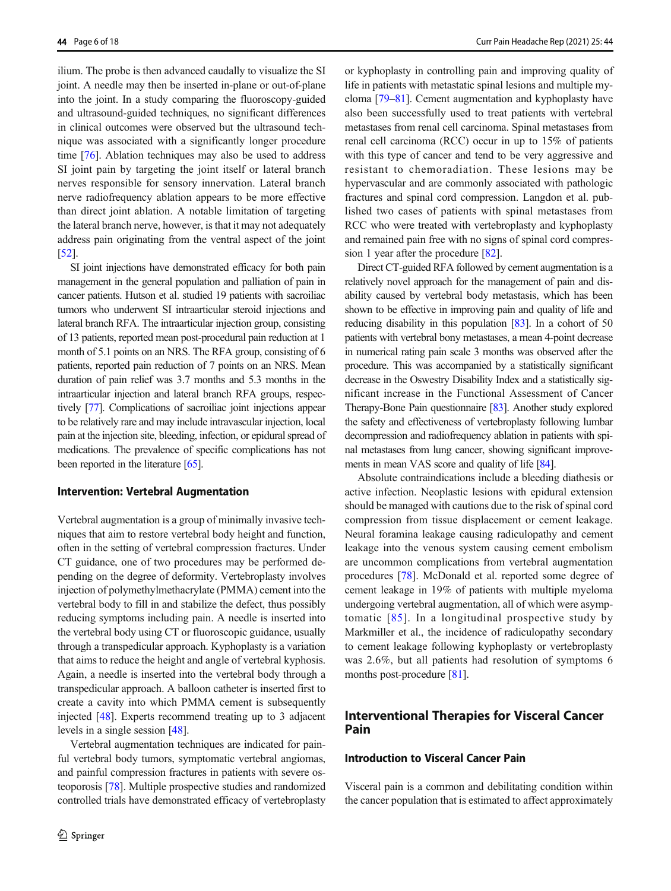ilium. The probe is then advanced caudally to visualize the SI joint. A needle may then be inserted in-plane or out-of-plane into the joint. In a study comparing the fluoroscopy-guided and ultrasound-guided techniques, no significant differences in clinical outcomes were observed but the ultrasound technique was associated with a significantly longer procedure time [[76\]](#page-14-0). Ablation techniques may also be used to address SI joint pain by targeting the joint itself or lateral branch nerves responsible for sensory innervation. Lateral branch nerve radiofrequency ablation appears to be more effective than direct joint ablation. A notable limitation of targeting the lateral branch nerve, however, is that it may not adequately address pain originating from the ventral aspect of the joint [\[52\]](#page-13-0).

SI joint injections have demonstrated efficacy for both pain management in the general population and palliation of pain in cancer patients. Hutson et al. studied 19 patients with sacroiliac tumors who underwent SI intraarticular steroid injections and lateral branch RFA. The intraarticular injection group, consisting of 13 patients, reported mean post-procedural pain reduction at 1 month of 5.1 points on an NRS. The RFA group, consisting of 6 patients, reported pain reduction of 7 points on an NRS. Mean duration of pain relief was 3.7 months and 5.3 months in the intraarticular injection and lateral branch RFA groups, respectively [\[77\]](#page-14-0). Complications of sacroiliac joint injections appear to be relatively rare and may include intravascular injection, local pain at the injection site, bleeding, infection, or epidural spread of medications. The prevalence of specific complications has not been reported in the literature [\[65](#page-14-0)].

#### Intervention: Vertebral Augmentation

Vertebral augmentation is a group of minimally invasive techniques that aim to restore vertebral body height and function, often in the setting of vertebral compression fractures. Under CT guidance, one of two procedures may be performed depending on the degree of deformity. Vertebroplasty involves injection of polymethylmethacrylate (PMMA) cement into the vertebral body to fill in and stabilize the defect, thus possibly reducing symptoms including pain. A needle is inserted into the vertebral body using CT or fluoroscopic guidance, usually through a transpedicular approach. Kyphoplasty is a variation that aims to reduce the height and angle of vertebral kyphosis. Again, a needle is inserted into the vertebral body through a transpedicular approach. A balloon catheter is inserted first to create a cavity into which PMMA cement is subsequently injected [\[48](#page-13-0)]. Experts recommend treating up to 3 adjacent levels in a single session [[48](#page-13-0)].

Vertebral augmentation techniques are indicated for painful vertebral body tumors, symptomatic vertebral angiomas, and painful compression fractures in patients with severe osteoporosis [\[78](#page-14-0)]. Multiple prospective studies and randomized controlled trials have demonstrated efficacy of vertebroplasty or kyphoplasty in controlling pain and improving quality of life in patients with metastatic spinal lesions and multiple myeloma [\[79](#page-14-0)–[81](#page-14-0)]. Cement augmentation and kyphoplasty have also been successfully used to treat patients with vertebral metastases from renal cell carcinoma. Spinal metastases from renal cell carcinoma (RCC) occur in up to 15% of patients with this type of cancer and tend to be very aggressive and resistant to chemoradiation. These lesions may be hypervascular and are commonly associated with pathologic fractures and spinal cord compression. Langdon et al. published two cases of patients with spinal metastases from RCC who were treated with vertebroplasty and kyphoplasty and remained pain free with no signs of spinal cord compression 1 year after the procedure [[82\]](#page-14-0).

Direct CT-guided RFA followed by cement augmentation is a relatively novel approach for the management of pain and disability caused by vertebral body metastasis, which has been shown to be effective in improving pain and quality of life and reducing disability in this population [\[83](#page-14-0)]. In a cohort of 50 patients with vertebral bony metastases, a mean 4-point decrease in numerical rating pain scale 3 months was observed after the procedure. This was accompanied by a statistically significant decrease in the Oswestry Disability Index and a statistically significant increase in the Functional Assessment of Cancer Therapy-Bone Pain questionnaire [[83](#page-14-0)]. Another study explored the safety and effectiveness of vertebroplasty following lumbar decompression and radiofrequency ablation in patients with spinal metastases from lung cancer, showing significant improvements in mean VAS score and quality of life [\[84\]](#page-14-0).

Absolute contraindications include a bleeding diathesis or active infection. Neoplastic lesions with epidural extension should be managed with cautions due to the risk of spinal cord compression from tissue displacement or cement leakage. Neural foramina leakage causing radiculopathy and cement leakage into the venous system causing cement embolism are uncommon complications from vertebral augmentation procedures [\[78](#page-14-0)]. McDonald et al. reported some degree of cement leakage in 19% of patients with multiple myeloma undergoing vertebral augmentation, all of which were asymptomatic [[85](#page-14-0)]. In a longitudinal prospective study by Markmiller et al., the incidence of radiculopathy secondary to cement leakage following kyphoplasty or vertebroplasty was 2.6%, but all patients had resolution of symptoms 6 months post-procedure [\[81\]](#page-14-0).

# Interventional Therapies for Visceral Cancer Pain

## Introduction to Visceral Cancer Pain

Visceral pain is a common and debilitating condition within the cancer population that is estimated to affect approximately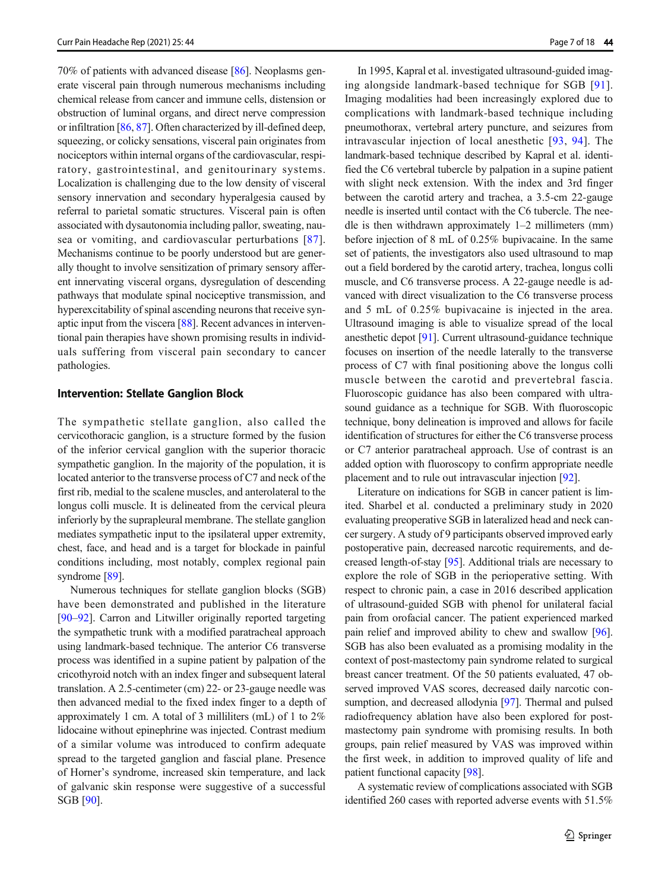70% of patients with advanced disease [\[86\]](#page-14-0). Neoplasms generate visceral pain through numerous mechanisms including chemical release from cancer and immune cells, distension or obstruction of luminal organs, and direct nerve compression or infiltration [[86,](#page-14-0) [87\]](#page-14-0). Often characterized by ill-defined deep, squeezing, or colicky sensations, visceral pain originates from nociceptors within internal organs of the cardiovascular, respiratory, gastrointestinal, and genitourinary systems. Localization is challenging due to the low density of visceral sensory innervation and secondary hyperalgesia caused by referral to parietal somatic structures. Visceral pain is often associated with dysautonomia including pallor, sweating, nausea or vomiting, and cardiovascular perturbations [[87](#page-14-0)]. Mechanisms continue to be poorly understood but are generally thought to involve sensitization of primary sensory afferent innervating visceral organs, dysregulation of descending pathways that modulate spinal nociceptive transmission, and hyperexcitability of spinal ascending neurons that receive synaptic input from the viscera [[88\]](#page-14-0). Recent advances in interventional pain therapies have shown promising results in individuals suffering from visceral pain secondary to cancer pathologies.

## Intervention: Stellate Ganglion Block

The sympathetic stellate ganglion, also called the cervicothoracic ganglion, is a structure formed by the fusion of the inferior cervical ganglion with the superior thoracic sympathetic ganglion. In the majority of the population, it is located anterior to the transverse process of C7 and neck of the first rib, medial to the scalene muscles, and anterolateral to the longus colli muscle. It is delineated from the cervical pleura inferiorly by the suprapleural membrane. The stellate ganglion mediates sympathetic input to the ipsilateral upper extremity, chest, face, and head and is a target for blockade in painful conditions including, most notably, complex regional pain syndrome [\[89\]](#page-14-0).

Numerous techniques for stellate ganglion blocks (SGB) have been demonstrated and published in the literature [\[90](#page-14-0)–[92](#page-14-0)]. Carron and Litwiller originally reported targeting the sympathetic trunk with a modified paratracheal approach using landmark-based technique. The anterior C6 transverse process was identified in a supine patient by palpation of the cricothyroid notch with an index finger and subsequent lateral translation. A 2.5-centimeter (cm) 22- or 23-gauge needle was then advanced medial to the fixed index finger to a depth of approximately 1 cm. A total of 3 milliliters (mL) of 1 to 2% lidocaine without epinephrine was injected. Contrast medium of a similar volume was introduced to confirm adequate spread to the targeted ganglion and fascial plane. Presence of Horner's syndrome, increased skin temperature, and lack of galvanic skin response were suggestive of a successful SGB [[90\]](#page-14-0).

In 1995, Kapral et al. investigated ultrasound-guided imaging alongside landmark-based technique for SGB [[91](#page-14-0)]. Imaging modalities had been increasingly explored due to complications with landmark-based technique including pneumothorax, vertebral artery puncture, and seizures from intravascular injection of local anesthetic [[93](#page-15-0), [94](#page-15-0)]. The landmark-based technique described by Kapral et al. identified the C6 vertebral tubercle by palpation in a supine patient with slight neck extension. With the index and 3rd finger between the carotid artery and trachea, a 3.5-cm 22-gauge needle is inserted until contact with the C6 tubercle. The needle is then withdrawn approximately 1–2 millimeters (mm) before injection of 8 mL of 0.25% bupivacaine. In the same set of patients, the investigators also used ultrasound to map out a field bordered by the carotid artery, trachea, longus colli muscle, and C6 transverse process. A 22-gauge needle is advanced with direct visualization to the C6 transverse process and 5 mL of 0.25% bupivacaine is injected in the area. Ultrasound imaging is able to visualize spread of the local anesthetic depot [[91](#page-14-0)]. Current ultrasound-guidance technique focuses on insertion of the needle laterally to the transverse process of C7 with final positioning above the longus colli muscle between the carotid and prevertebral fascia. Fluoroscopic guidance has also been compared with ultrasound guidance as a technique for SGB. With fluoroscopic technique, bony delineation is improved and allows for facile identification of structures for either the C6 transverse process or C7 anterior paratracheal approach. Use of contrast is an added option with fluoroscopy to confirm appropriate needle placement and to rule out intravascular injection [[92\]](#page-14-0).

Literature on indications for SGB in cancer patient is limited. Sharbel et al. conducted a preliminary study in 2020 evaluating preoperative SGB in lateralized head and neck cancer surgery. A study of 9 participants observed improved early postoperative pain, decreased narcotic requirements, and decreased length-of-stay [[95\]](#page-15-0). Additional trials are necessary to explore the role of SGB in the perioperative setting. With respect to chronic pain, a case in 2016 described application of ultrasound-guided SGB with phenol for unilateral facial pain from orofacial cancer. The patient experienced marked pain relief and improved ability to chew and swallow [[96\]](#page-15-0). SGB has also been evaluated as a promising modality in the context of post-mastectomy pain syndrome related to surgical breast cancer treatment. Of the 50 patients evaluated, 47 observed improved VAS scores, decreased daily narcotic consumption, and decreased allodynia [[97\]](#page-15-0). Thermal and pulsed radiofrequency ablation have also been explored for postmastectomy pain syndrome with promising results. In both groups, pain relief measured by VAS was improved within the first week, in addition to improved quality of life and patient functional capacity [[98](#page-15-0)].

A systematic review of complications associated with SGB identified 260 cases with reported adverse events with 51.5%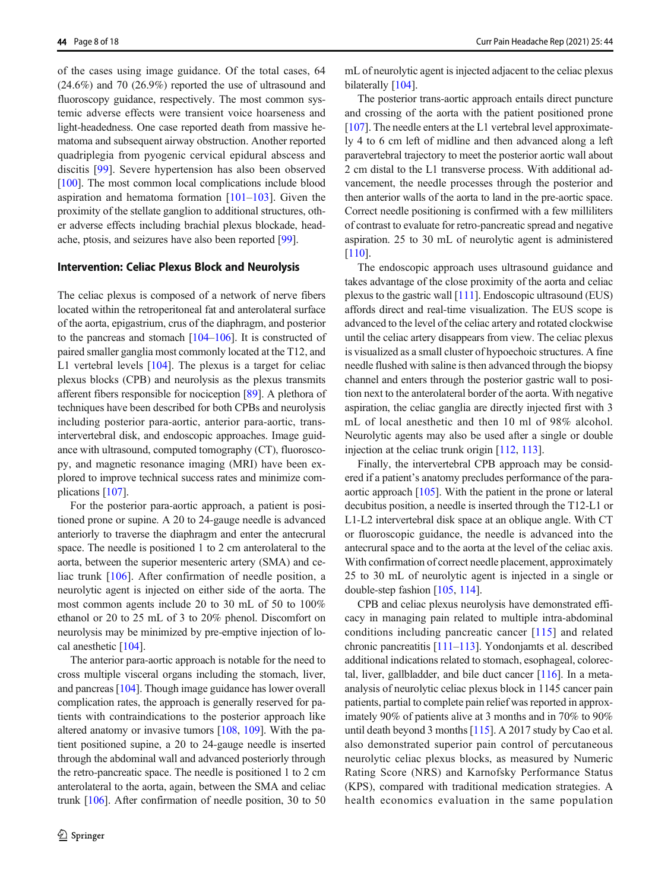of the cases using image guidance. Of the total cases, 64 (24.6%) and 70 (26.9%) reported the use of ultrasound and fluoroscopy guidance, respectively. The most common systemic adverse effects were transient voice hoarseness and light-headedness. One case reported death from massive hematoma and subsequent airway obstruction. Another reported quadriplegia from pyogenic cervical epidural abscess and discitis [\[99\]](#page-15-0). Severe hypertension has also been observed [\[100\]](#page-15-0). The most common local complications include blood aspiration and hematoma formation  $[101-103]$  $[101-103]$  $[101-103]$  $[101-103]$  $[101-103]$ . Given the proximity of the stellate ganglion to additional structures, other adverse effects including brachial plexus blockade, headache, ptosis, and seizures have also been reported [[99\]](#page-15-0).

## Intervention: Celiac Plexus Block and Neurolysis

The celiac plexus is composed of a network of nerve fibers located within the retroperitoneal fat and anterolateral surface of the aorta, epigastrium, crus of the diaphragm, and posterior to the pancreas and stomach [[104](#page-15-0)–[106](#page-15-0)]. It is constructed of paired smaller ganglia most commonly located at the T12, and L1 vertebral levels [[104\]](#page-15-0). The plexus is a target for celiac plexus blocks (CPB) and neurolysis as the plexus transmits afferent fibers responsible for nociception [\[89\]](#page-14-0). A plethora of techniques have been described for both CPBs and neurolysis including posterior para-aortic, anterior para-aortic, transintervertebral disk, and endoscopic approaches. Image guidance with ultrasound, computed tomography (CT), fluoroscopy, and magnetic resonance imaging (MRI) have been explored to improve technical success rates and minimize complications [\[107\]](#page-15-0).

For the posterior para-aortic approach, a patient is positioned prone or supine. A 20 to 24-gauge needle is advanced anteriorly to traverse the diaphragm and enter the antecrural space. The needle is positioned 1 to 2 cm anterolateral to the aorta, between the superior mesenteric artery (SMA) and ce-liac trunk [[106\]](#page-15-0). After confirmation of needle position, a neurolytic agent is injected on either side of the aorta. The most common agents include 20 to 30 mL of 50 to 100% ethanol or 20 to 25 mL of 3 to 20% phenol. Discomfort on neurolysis may be minimized by pre-emptive injection of local anesthetic [\[104\]](#page-15-0).

The anterior para-aortic approach is notable for the need to cross multiple visceral organs including the stomach, liver, and pancreas [\[104\]](#page-15-0). Though image guidance has lower overall complication rates, the approach is generally reserved for patients with contraindications to the posterior approach like altered anatomy or invasive tumors [\[108,](#page-15-0) [109\]](#page-15-0). With the patient positioned supine, a 20 to 24-gauge needle is inserted through the abdominal wall and advanced posteriorly through the retro-pancreatic space. The needle is positioned 1 to 2 cm anterolateral to the aorta, again, between the SMA and celiac trunk [\[106\]](#page-15-0). After confirmation of needle position, 30 to 50 mL of neurolytic agent is injected adjacent to the celiac plexus bilaterally [[104](#page-15-0)].

The posterior trans-aortic approach entails direct puncture and crossing of the aorta with the patient positioned prone [\[107\]](#page-15-0). The needle enters at the L1 vertebral level approximately 4 to 6 cm left of midline and then advanced along a left paravertebral trajectory to meet the posterior aortic wall about 2 cm distal to the L1 transverse process. With additional advancement, the needle processes through the posterior and then anterior walls of the aorta to land in the pre-aortic space. Correct needle positioning is confirmed with a few milliliters of contrast to evaluate for retro-pancreatic spread and negative aspiration. 25 to 30 mL of neurolytic agent is administered [\[110\]](#page-15-0).

The endoscopic approach uses ultrasound guidance and takes advantage of the close proximity of the aorta and celiac plexus to the gastric wall [[111](#page-15-0)]. Endoscopic ultrasound (EUS) affords direct and real-time visualization. The EUS scope is advanced to the level of the celiac artery and rotated clockwise until the celiac artery disappears from view. The celiac plexus is visualized as a small cluster of hypoechoic structures. A fine needle flushed with saline is then advanced through the biopsy channel and enters through the posterior gastric wall to position next to the anterolateral border of the aorta. With negative aspiration, the celiac ganglia are directly injected first with 3 mL of local anesthetic and then 10 ml of 98% alcohol. Neurolytic agents may also be used after a single or double injection at the celiac trunk origin [\[112](#page-15-0), [113\]](#page-15-0).

Finally, the intervertebral CPB approach may be considered if a patient's anatomy precludes performance of the paraaortic approach [[105\]](#page-15-0). With the patient in the prone or lateral decubitus position, a needle is inserted through the T12-L1 or L1-L2 intervertebral disk space at an oblique angle. With CT or fluoroscopic guidance, the needle is advanced into the antecrural space and to the aorta at the level of the celiac axis. With confirmation of correct needle placement, approximately 25 to 30 mL of neurolytic agent is injected in a single or double-step fashion [\[105,](#page-15-0) [114\]](#page-15-0).

CPB and celiac plexus neurolysis have demonstrated efficacy in managing pain related to multiple intra-abdominal conditions including pancreatic cancer [\[115\]](#page-15-0) and related chronic pancreatitis [[111](#page-15-0)–[113](#page-15-0)]. Yondonjamts et al. described additional indications related to stomach, esophageal, colorectal, liver, gallbladder, and bile duct cancer [[116\]](#page-15-0). In a metaanalysis of neurolytic celiac plexus block in 1145 cancer pain patients, partial to complete pain relief was reported in approximately 90% of patients alive at 3 months and in 70% to 90% until death beyond 3 months [\[115\]](#page-15-0). A 2017 study by Cao et al. also demonstrated superior pain control of percutaneous neurolytic celiac plexus blocks, as measured by Numeric Rating Score (NRS) and Karnofsky Performance Status (KPS), compared with traditional medication strategies. A health economics evaluation in the same population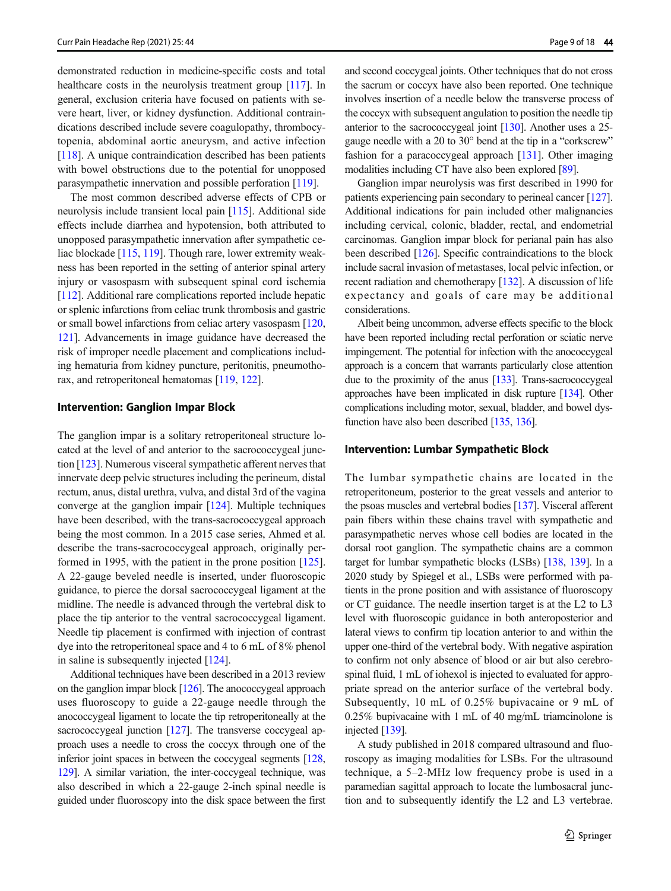demonstrated reduction in medicine-specific costs and total healthcare costs in the neurolysis treatment group [\[117\]](#page-15-0). In general, exclusion criteria have focused on patients with severe heart, liver, or kidney dysfunction. Additional contraindications described include severe coagulopathy, thrombocytopenia, abdominal aortic aneurysm, and active infection [\[118\]](#page-15-0). A unique contraindication described has been patients with bowel obstructions due to the potential for unopposed parasympathetic innervation and possible perforation [\[119\]](#page-15-0).

The most common described adverse effects of CPB or neurolysis include transient local pain [[115\]](#page-15-0). Additional side effects include diarrhea and hypotension, both attributed to unopposed parasympathetic innervation after sympathetic celiac blockade [[115](#page-15-0), [119\]](#page-15-0). Though rare, lower extremity weakness has been reported in the setting of anterior spinal artery injury or vasospasm with subsequent spinal cord ischemia [\[112\]](#page-15-0). Additional rare complications reported include hepatic or splenic infarctions from celiac trunk thrombosis and gastric or small bowel infarctions from celiac artery vasospasm [\[120,](#page-15-0) [121\]](#page-15-0). Advancements in image guidance have decreased the risk of improper needle placement and complications including hematuria from kidney puncture, peritonitis, pneumothorax, and retroperitoneal hematomas [\[119,](#page-15-0) [122\]](#page-15-0).

## Intervention: Ganglion Impar Block

The ganglion impar is a solitary retroperitoneal structure located at the level of and anterior to the sacrococcygeal junction [\[123\]](#page-15-0). Numerous visceral sympathetic afferent nerves that innervate deep pelvic structures including the perineum, distal rectum, anus, distal urethra, vulva, and distal 3rd of the vagina converge at the ganglion impair [\[124](#page-15-0)]. Multiple techniques have been described, with the trans-sacrococcygeal approach being the most common. In a 2015 case series, Ahmed et al. describe the trans-sacrococcygeal approach, originally performed in 1995, with the patient in the prone position [[125\]](#page-15-0). A 22-gauge beveled needle is inserted, under fluoroscopic guidance, to pierce the dorsal sacrococcygeal ligament at the midline. The needle is advanced through the vertebral disk to place the tip anterior to the ventral sacrococcygeal ligament. Needle tip placement is confirmed with injection of contrast dye into the retroperitoneal space and 4 to 6 mL of 8% phenol in saline is subsequently injected [[124\]](#page-15-0).

Additional techniques have been described in a 2013 review on the ganglion impar block [\[126](#page-15-0)]. The anococcygeal approach uses fluoroscopy to guide a 22-gauge needle through the anococcygeal ligament to locate the tip retroperitoneally at the sacrococcygeal junction [[127](#page-16-0)]. The transverse coccygeal approach uses a needle to cross the coccyx through one of the inferior joint spaces in between the coccygeal segments [\[128,](#page-16-0) [129](#page-16-0)]. A similar variation, the inter-coccygeal technique, was also described in which a 22-gauge 2-inch spinal needle is guided under fluoroscopy into the disk space between the first

and second coccygeal joints. Other techniques that do not cross the sacrum or coccyx have also been reported. One technique involves insertion of a needle below the transverse process of the coccyx with subsequent angulation to position the needle tip anterior to the sacrococcygeal joint [\[130\]](#page-16-0). Another uses a 25 gauge needle with a 20 to 30° bend at the tip in a "corkscrew" fashion for a paracoccygeal approach [[131](#page-16-0)]. Other imaging modalities including CT have also been explored [\[89\]](#page-14-0).

Ganglion impar neurolysis was first described in 1990 for patients experiencing pain secondary to perineal cancer [\[127\]](#page-16-0). Additional indications for pain included other malignancies including cervical, colonic, bladder, rectal, and endometrial carcinomas. Ganglion impar block for perianal pain has also been described [\[126](#page-15-0)]. Specific contraindications to the block include sacral invasion of metastases, local pelvic infection, or recent radiation and chemotherapy [[132\]](#page-16-0). A discussion of life expectancy and goals of care may be additional considerations.

Albeit being uncommon, adverse effects specific to the block have been reported including rectal perforation or sciatic nerve impingement. The potential for infection with the anococcygeal approach is a concern that warrants particularly close attention due to the proximity of the anus [\[133](#page-16-0)]. Trans-sacrococcygeal approaches have been implicated in disk rupture [\[134](#page-16-0)]. Other complications including motor, sexual, bladder, and bowel dysfunction have also been described [[135,](#page-16-0) [136\]](#page-16-0).

## Intervention: Lumbar Sympathetic Block

The lumbar sympathetic chains are located in the retroperitoneum, posterior to the great vessels and anterior to the psoas muscles and vertebral bodies [\[137](#page-16-0)]. Visceral afferent pain fibers within these chains travel with sympathetic and parasympathetic nerves whose cell bodies are located in the dorsal root ganglion. The sympathetic chains are a common target for lumbar sympathetic blocks (LSBs) [[138](#page-16-0), [139](#page-16-0)]. In a 2020 study by Spiegel et al., LSBs were performed with patients in the prone position and with assistance of fluoroscopy or CT guidance. The needle insertion target is at the L2 to L3 level with fluoroscopic guidance in both anteroposterior and lateral views to confirm tip location anterior to and within the upper one-third of the vertebral body. With negative aspiration to confirm not only absence of blood or air but also cerebrospinal fluid, 1 mL of iohexol is injected to evaluated for appropriate spread on the anterior surface of the vertebral body. Subsequently, 10 mL of 0.25% bupivacaine or 9 mL of 0.25% bupivacaine with 1 mL of 40 mg/mL triamcinolone is injected [[139](#page-16-0)].

A study published in 2018 compared ultrasound and fluoroscopy as imaging modalities for LSBs. For the ultrasound technique, a 5–2-MHz low frequency probe is used in a paramedian sagittal approach to locate the lumbosacral junction and to subsequently identify the L2 and L3 vertebrae.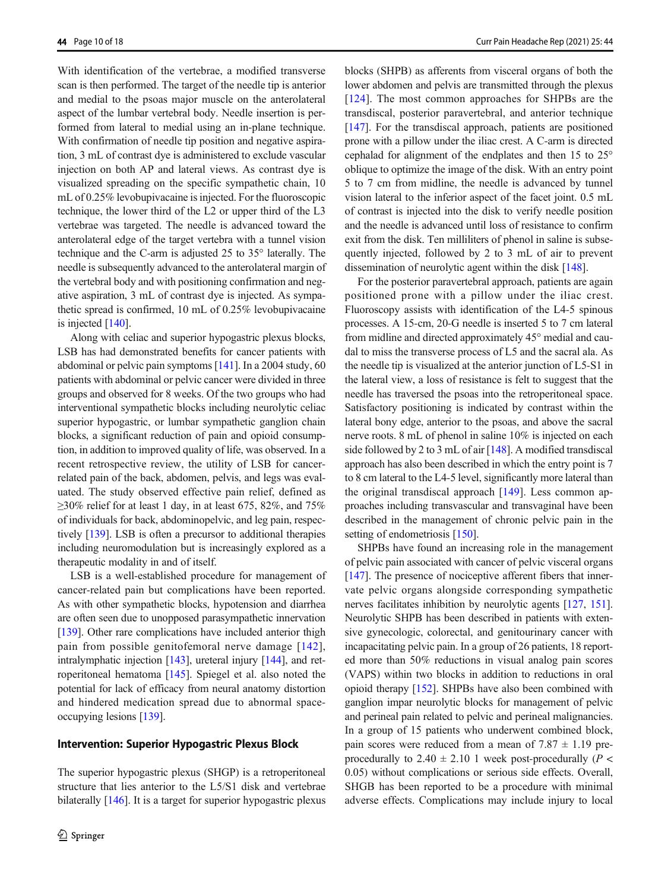With identification of the vertebrae, a modified transverse scan is then performed. The target of the needle tip is anterior and medial to the psoas major muscle on the anterolateral aspect of the lumbar vertebral body. Needle insertion is performed from lateral to medial using an in-plane technique. With confirmation of needle tip position and negative aspiration, 3 mL of contrast dye is administered to exclude vascular injection on both AP and lateral views. As contrast dye is visualized spreading on the specific sympathetic chain, 10 mL of 0.25% levobupivacaine is injected. For the fluoroscopic technique, the lower third of the L2 or upper third of the L3 vertebrae was targeted. The needle is advanced toward the anterolateral edge of the target vertebra with a tunnel vision technique and the C-arm is adjusted 25 to 35° laterally. The needle is subsequently advanced to the anterolateral margin of the vertebral body and with positioning confirmation and negative aspiration, 3 mL of contrast dye is injected. As sympathetic spread is confirmed, 10 mL of 0.25% levobupivacaine is injected [\[140\]](#page-16-0).

Along with celiac and superior hypogastric plexus blocks, LSB has had demonstrated benefits for cancer patients with abdominal or pelvic pain symptoms [\[141](#page-16-0)]. In a 2004 study, 60 patients with abdominal or pelvic cancer were divided in three groups and observed for 8 weeks. Of the two groups who had interventional sympathetic blocks including neurolytic celiac superior hypogastric, or lumbar sympathetic ganglion chain blocks, a significant reduction of pain and opioid consumption, in addition to improved quality of life, was observed. In a recent retrospective review, the utility of LSB for cancerrelated pain of the back, abdomen, pelvis, and legs was evaluated. The study observed effective pain relief, defined as  $\geq$ 30% relief for at least 1 day, in at least 675, 82%, and 75% of individuals for back, abdominopelvic, and leg pain, respectively [\[139\]](#page-16-0). LSB is often a precursor to additional therapies including neuromodulation but is increasingly explored as a therapeutic modality in and of itself.

LSB is a well-established procedure for management of cancer-related pain but complications have been reported. As with other sympathetic blocks, hypotension and diarrhea are often seen due to unopposed parasympathetic innervation [\[139\]](#page-16-0). Other rare complications have included anterior thigh pain from possible genitofemoral nerve damage [[142](#page-16-0)], intralymphatic injection [\[143\]](#page-16-0), ureteral injury [\[144\]](#page-16-0), and retroperitoneal hematoma [\[145](#page-16-0)]. Spiegel et al. also noted the potential for lack of efficacy from neural anatomy distortion and hindered medication spread due to abnormal spaceoccupying lesions [[139](#page-16-0)].

## Intervention: Superior Hypogastric Plexus Block

The superior hypogastric plexus (SHGP) is a retroperitoneal structure that lies anterior to the L5/S1 disk and vertebrae bilaterally [[146](#page-16-0)]. It is a target for superior hypogastric plexus blocks (SHPB) as afferents from visceral organs of both the lower abdomen and pelvis are transmitted through the plexus [\[124\]](#page-15-0). The most common approaches for SHPBs are the transdiscal, posterior paravertebral, and anterior technique [\[147](#page-16-0)]. For the transdiscal approach, patients are positioned prone with a pillow under the iliac crest. A C-arm is directed cephalad for alignment of the endplates and then 15 to 25° oblique to optimize the image of the disk. With an entry point 5 to 7 cm from midline, the needle is advanced by tunnel vision lateral to the inferior aspect of the facet joint. 0.5 mL of contrast is injected into the disk to verify needle position and the needle is advanced until loss of resistance to confirm exit from the disk. Ten milliliters of phenol in saline is subsequently injected, followed by 2 to 3 mL of air to prevent dissemination of neurolytic agent within the disk [\[148\]](#page-16-0).

For the posterior paravertebral approach, patients are again positioned prone with a pillow under the iliac crest. Fluoroscopy assists with identification of the L4-5 spinous processes. A 15-cm, 20-G needle is inserted 5 to 7 cm lateral from midline and directed approximately 45° medial and caudal to miss the transverse process of L5 and the sacral ala. As the needle tip is visualized at the anterior junction of L5-S1 in the lateral view, a loss of resistance is felt to suggest that the needle has traversed the psoas into the retroperitoneal space. Satisfactory positioning is indicated by contrast within the lateral bony edge, anterior to the psoas, and above the sacral nerve roots. 8 mL of phenol in saline 10% is injected on each side followed by 2 to 3 mL of air [\[148\]](#page-16-0). A modified transdiscal approach has also been described in which the entry point is 7 to 8 cm lateral to the L4-5 level, significantly more lateral than the original transdiscal approach [\[149](#page-16-0)]. Less common approaches including transvascular and transvaginal have been described in the management of chronic pelvic pain in the setting of endometriosis [\[150\]](#page-16-0).

SHPBs have found an increasing role in the management of pelvic pain associated with cancer of pelvic visceral organs [\[147\]](#page-16-0). The presence of nociceptive afferent fibers that innervate pelvic organs alongside corresponding sympathetic nerves facilitates inhibition by neurolytic agents [\[127](#page-16-0), [151\]](#page-16-0). Neurolytic SHPB has been described in patients with extensive gynecologic, colorectal, and genitourinary cancer with incapacitating pelvic pain. In a group of 26 patients, 18 reported more than 50% reductions in visual analog pain scores (VAPS) within two blocks in addition to reductions in oral opioid therapy [\[152\]](#page-16-0). SHPBs have also been combined with ganglion impar neurolytic blocks for management of pelvic and perineal pain related to pelvic and perineal malignancies. In a group of 15 patients who underwent combined block, pain scores were reduced from a mean of  $7.87 \pm 1.19$  preprocedurally to 2.40  $\pm$  2.10 1 week post-procedurally (P < 0.05) without complications or serious side effects. Overall, SHGB has been reported to be a procedure with minimal adverse effects. Complications may include injury to local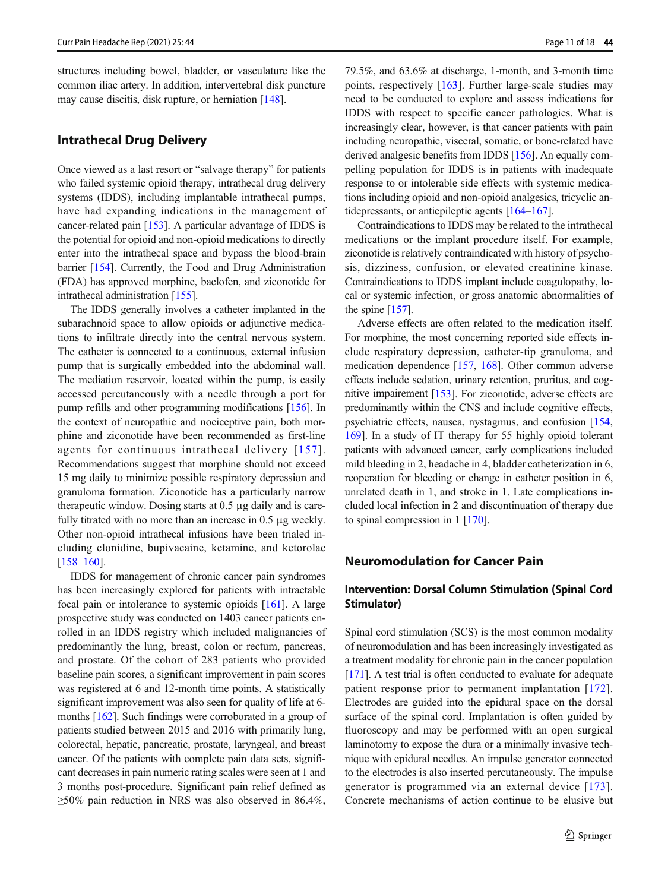structures including bowel, bladder, or vasculature like the common iliac artery. In addition, intervertebral disk puncture may cause discitis, disk rupture, or herniation [\[148\]](#page-16-0).

## Intrathecal Drug Delivery

Once viewed as a last resort or "salvage therapy" for patients who failed systemic opioid therapy, intrathecal drug delivery systems (IDDS), including implantable intrathecal pumps, have had expanding indications in the management of cancer-related pain [\[153\]](#page-16-0). A particular advantage of IDDS is the potential for opioid and non-opioid medications to directly enter into the intrathecal space and bypass the blood-brain barrier [\[154\]](#page-16-0). Currently, the Food and Drug Administration (FDA) has approved morphine, baclofen, and ziconotide for intrathecal administration [[155](#page-16-0)].

The IDDS generally involves a catheter implanted in the subarachnoid space to allow opioids or adjunctive medications to infiltrate directly into the central nervous system. The catheter is connected to a continuous, external infusion pump that is surgically embedded into the abdominal wall. The mediation reservoir, located within the pump, is easily accessed percutaneously with a needle through a port for pump refills and other programming modifications [[156](#page-16-0)]. In the context of neuropathic and nociceptive pain, both morphine and ziconotide have been recommended as first-line agents for continuous intrathecal delivery [[157\]](#page-16-0). Recommendations suggest that morphine should not exceed 15 mg daily to minimize possible respiratory depression and granuloma formation. Ziconotide has a particularly narrow therapeutic window. Dosing starts at 0.5 μg daily and is carefully titrated with no more than an increase in 0.5 μg weekly. Other non-opioid intrathecal infusions have been trialed including clonidine, bupivacaine, ketamine, and ketorolac [\[158](#page-16-0)–[160](#page-16-0)].

IDDS for management of chronic cancer pain syndromes has been increasingly explored for patients with intractable focal pain or intolerance to systemic opioids [\[161](#page-16-0)]. A large prospective study was conducted on 1403 cancer patients enrolled in an IDDS registry which included malignancies of predominantly the lung, breast, colon or rectum, pancreas, and prostate. Of the cohort of 283 patients who provided baseline pain scores, a significant improvement in pain scores was registered at 6 and 12-month time points. A statistically significant improvement was also seen for quality of life at 6 months [\[162](#page-17-0)]. Such findings were corroborated in a group of patients studied between 2015 and 2016 with primarily lung, colorectal, hepatic, pancreatic, prostate, laryngeal, and breast cancer. Of the patients with complete pain data sets, significant decreases in pain numeric rating scales were seen at 1 and 3 months post-procedure. Significant pain relief defined as  $\geq$ 50% pain reduction in NRS was also observed in 86.4%,

79.5%, and 63.6% at discharge, 1-month, and 3-month time points, respectively [[163\]](#page-17-0). Further large-scale studies may need to be conducted to explore and assess indications for IDDS with respect to specific cancer pathologies. What is increasingly clear, however, is that cancer patients with pain including neuropathic, visceral, somatic, or bone-related have derived analgesic benefits from IDDS [\[156\]](#page-16-0). An equally compelling population for IDDS is in patients with inadequate response to or intolerable side effects with systemic medications including opioid and non-opioid analgesics, tricyclic antidepressants, or antiepileptic agents [\[164](#page-17-0)–[167](#page-17-0)].

Contraindications to IDDS may be related to the intrathecal medications or the implant procedure itself. For example, ziconotide is relatively contraindicated with history of psychosis, dizziness, confusion, or elevated creatinine kinase. Contraindications to IDDS implant include coagulopathy, local or systemic infection, or gross anatomic abnormalities of the spine [[157](#page-16-0)].

Adverse effects are often related to the medication itself. For morphine, the most concerning reported side effects include respiratory depression, catheter-tip granuloma, and medication dependence [[157,](#page-16-0) [168](#page-17-0)]. Other common adverse effects include sedation, urinary retention, pruritus, and cognitive impairement [\[153\]](#page-16-0). For ziconotide, adverse effects are predominantly within the CNS and include cognitive effects, psychiatric effects, nausea, nystagmus, and confusion [\[154,](#page-16-0) [169\]](#page-17-0). In a study of IT therapy for 55 highly opioid tolerant patients with advanced cancer, early complications included mild bleeding in 2, headache in 4, bladder catheterization in 6, reoperation for bleeding or change in catheter position in 6, unrelated death in 1, and stroke in 1. Late complications included local infection in 2 and discontinuation of therapy due to spinal compression in 1 [[170](#page-17-0)].

# Neuromodulation for Cancer Pain

# Intervention: Dorsal Column Stimulation (Spinal Cord Stimulator)

Spinal cord stimulation (SCS) is the most common modality of neuromodulation and has been increasingly investigated as a treatment modality for chronic pain in the cancer population [\[171\]](#page-17-0). A test trial is often conducted to evaluate for adequate patient response prior to permanent implantation [[172](#page-17-0)]. Electrodes are guided into the epidural space on the dorsal surface of the spinal cord. Implantation is often guided by fluoroscopy and may be performed with an open surgical laminotomy to expose the dura or a minimally invasive technique with epidural needles. An impulse generator connected to the electrodes is also inserted percutaneously. The impulse generator is programmed via an external device [\[173](#page-17-0)]. Concrete mechanisms of action continue to be elusive but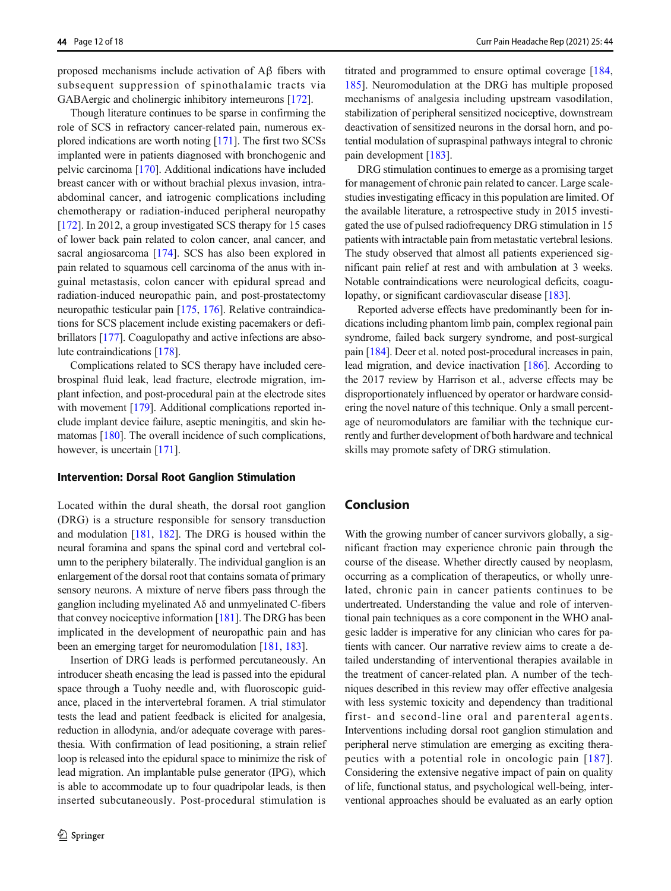proposed mechanisms include activation of Aβ fibers with subsequent suppression of spinothalamic tracts via GABAergic and cholinergic inhibitory interneurons [\[172\]](#page-17-0).

Though literature continues to be sparse in confirming the role of SCS in refractory cancer-related pain, numerous explored indications are worth noting [[171](#page-17-0)]. The first two SCSs implanted were in patients diagnosed with bronchogenic and pelvic carcinoma [\[170\]](#page-17-0). Additional indications have included breast cancer with or without brachial plexus invasion, intraabdominal cancer, and iatrogenic complications including chemotherapy or radiation-induced peripheral neuropathy [\[172\]](#page-17-0). In 2012, a group investigated SCS therapy for 15 cases of lower back pain related to colon cancer, anal cancer, and sacral angiosarcoma [[174\]](#page-17-0). SCS has also been explored in pain related to squamous cell carcinoma of the anus with inguinal metastasis, colon cancer with epidural spread and radiation-induced neuropathic pain, and post-prostatectomy neuropathic testicular pain [\[175,](#page-17-0) [176\]](#page-17-0). Relative contraindications for SCS placement include existing pacemakers or defibrillators [\[177\]](#page-17-0). Coagulopathy and active infections are absolute contraindications [\[178\]](#page-17-0).

Complications related to SCS therapy have included cerebrospinal fluid leak, lead fracture, electrode migration, implant infection, and post-procedural pain at the electrode sites with movement [\[179](#page-17-0)]. Additional complications reported include implant device failure, aseptic meningitis, and skin hematomas [[180](#page-17-0)]. The overall incidence of such complications, however, is uncertain [\[171\]](#page-17-0).

#### Intervention: Dorsal Root Ganglion Stimulation

Located within the dural sheath, the dorsal root ganglion (DRG) is a structure responsible for sensory transduction and modulation [[181](#page-17-0), [182](#page-17-0)]. The DRG is housed within the neural foramina and spans the spinal cord and vertebral column to the periphery bilaterally. The individual ganglion is an enlargement of the dorsal root that contains somata of primary sensory neurons. A mixture of nerve fibers pass through the ganglion including myelinated Aδ and unmyelinated C-fibers that convey nociceptive information  $[181]$ . The DRG has been implicated in the development of neuropathic pain and has been an emerging target for neuromodulation [\[181](#page-17-0), [183\]](#page-17-0).

Insertion of DRG leads is performed percutaneously. An introducer sheath encasing the lead is passed into the epidural space through a Tuohy needle and, with fluoroscopic guidance, placed in the intervertebral foramen. A trial stimulator tests the lead and patient feedback is elicited for analgesia, reduction in allodynia, and/or adequate coverage with paresthesia. With confirmation of lead positioning, a strain relief loop is released into the epidural space to minimize the risk of lead migration. An implantable pulse generator (IPG), which is able to accommodate up to four quadripolar leads, is then inserted subcutaneously. Post-procedural stimulation is

titrated and programmed to ensure optimal coverage [[184,](#page-17-0) [185](#page-17-0)]. Neuromodulation at the DRG has multiple proposed mechanisms of analgesia including upstream vasodilation, stabilization of peripheral sensitized nociceptive, downstream deactivation of sensitized neurons in the dorsal horn, and potential modulation of supraspinal pathways integral to chronic pain development [\[183](#page-17-0)].

DRG stimulation continues to emerge as a promising target for management of chronic pain related to cancer. Large scalestudies investigating efficacy in this population are limited. Of the available literature, a retrospective study in 2015 investigated the use of pulsed radiofrequency DRG stimulation in 15 patients with intractable pain from metastatic vertebral lesions. The study observed that almost all patients experienced significant pain relief at rest and with ambulation at 3 weeks. Notable contraindications were neurological deficits, coagu-lopathy, or significant cardiovascular disease [[183](#page-17-0)].

Reported adverse effects have predominantly been for indications including phantom limb pain, complex regional pain syndrome, failed back surgery syndrome, and post-surgical pain [\[184\]](#page-17-0). Deer et al. noted post-procedural increases in pain, lead migration, and device inactivation [\[186\]](#page-17-0). According to the 2017 review by Harrison et al., adverse effects may be disproportionately influenced by operator or hardware considering the novel nature of this technique. Only a small percentage of neuromodulators are familiar with the technique currently and further development of both hardware and technical skills may promote safety of DRG stimulation.

## Conclusion

With the growing number of cancer survivors globally, a significant fraction may experience chronic pain through the course of the disease. Whether directly caused by neoplasm, occurring as a complication of therapeutics, or wholly unrelated, chronic pain in cancer patients continues to be undertreated. Understanding the value and role of interventional pain techniques as a core component in the WHO analgesic ladder is imperative for any clinician who cares for patients with cancer. Our narrative review aims to create a detailed understanding of interventional therapies available in the treatment of cancer-related plan. A number of the techniques described in this review may offer effective analgesia with less systemic toxicity and dependency than traditional first- and second-line oral and parenteral agents. Interventions including dorsal root ganglion stimulation and peripheral nerve stimulation are emerging as exciting therapeutics with a potential role in oncologic pain [[187](#page-17-0)]. Considering the extensive negative impact of pain on quality of life, functional status, and psychological well-being, interventional approaches should be evaluated as an early option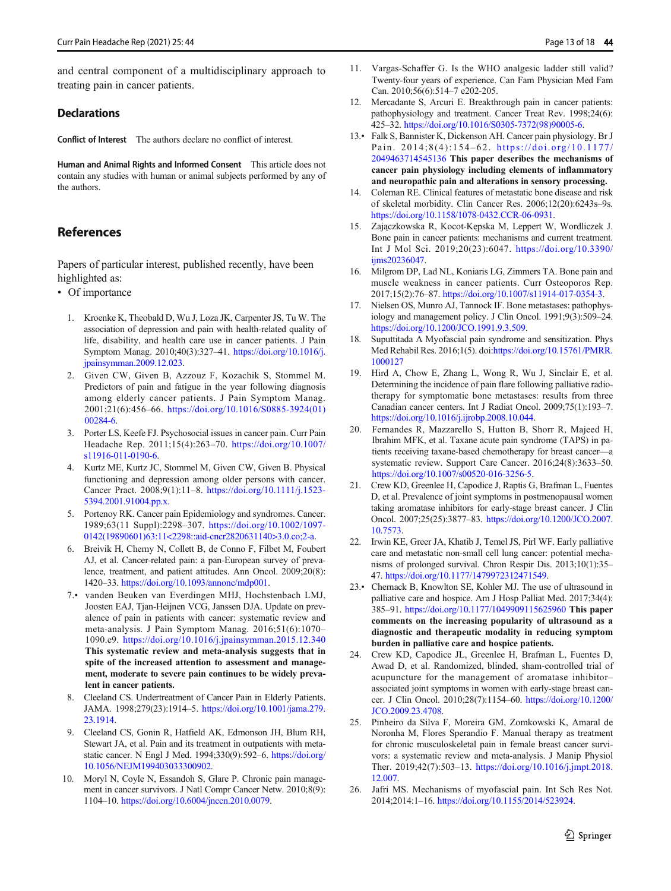<span id="page-12-0"></span>and central component of a multidisciplinary approach to treating pain in cancer patients.

## **Declarations**

Conflict of Interest The authors declare no conflict of interest.

Human and Animal Rights and Informed Consent This article does not contain any studies with human or animal subjects performed by any of the authors.

# References

Papers of particular interest, published recently, have been highlighted as:

- Of importance
	- 1. Kroenke K, Theobald D, Wu J, Loza JK, Carpenter JS, Tu W. The association of depression and pain with health-related quality of life, disability, and health care use in cancer patients. J Pain Symptom Manag. 2010;40(3):327–41. [https://doi.org/10.1016/j.](https://doi.org/10.1016/j.jpainsymman.2009.12.023) [jpainsymman.2009.12.023.](https://doi.org/10.1016/j.jpainsymman.2009.12.023)
	- 2. Given CW, Given B, Azzouz F, Kozachik S, Stommel M. Predictors of pain and fatigue in the year following diagnosis among elderly cancer patients. J Pain Symptom Manag. 2001;21(6):456–66. [https://doi.org/10.1016/S0885-3924\(01\)](https://doi.org/10.1016/S0885-3924(01)00284-6) [00284-6.](https://doi.org/10.1016/S0885-3924(01)00284-6)
	- 3. Porter LS, Keefe FJ. Psychosocial issues in cancer pain. Curr Pain Headache Rep. 2011;15(4):263–70. [https://doi.org/10.1007/](https://doi.org/10.1007/s11916-011-0190-6) [s11916-011-0190-6](https://doi.org/10.1007/s11916-011-0190-6).
	- 4. Kurtz ME, Kurtz JC, Stommel M, Given CW, Given B. Physical functioning and depression among older persons with cancer. Cancer Pract. 2008;9(1):11–8. [https://doi.org/10.1111/j.1523-](https://doi.org/10.1111/j.1523-5394.2001.91004.pp.x) [5394.2001.91004.pp.x.](https://doi.org/10.1111/j.1523-5394.2001.91004.pp.x)
	- 5. Portenoy RK. Cancer pain Epidemiology and syndromes. Cancer. 1989;63(11 Suppl):2298–307. [https://doi.org/10.1002/1097-](https://doi.org/10.1002/1097-0142(19890601)63:11<2298::aid-cncr2820631140>3.0.co;2-a) [0142\(19890601\)63:11<2298::aid-cncr2820631140>3.0.co;2-a.](https://doi.org/10.1002/1097-0142(19890601)63:11<2298::aid-cncr2820631140>3.0.co;2-a)
	- 6. Breivik H, Cherny N, Collett B, de Conno F, Filbet M, Foubert AJ, et al. Cancer-related pain: a pan-European survey of prevalence, treatment, and patient attitudes. Ann Oncol. 2009;20(8): 1420–33. [https://doi.org/10.1093/annonc/mdp001.](https://doi.org/10.1093/annonc/mdp001)
	- 7.• vanden Beuken van Everdingen MHJ, Hochstenbach LMJ, Joosten EAJ, Tjan-Heijnen VCG, Janssen DJA. Update on prevalence of pain in patients with cancer: systematic review and meta-analysis. J Pain Symptom Manag. 2016;51(6):1070– 1090.e9. <https://doi.org/10.1016/j.jpainsymman.2015.12.340> This systematic review and meta-analysis suggests that in spite of the increased attention to assessment and management, moderate to severe pain continues to be widely prevalent in cancer patients.
	- Cleeland CS. Undertreatment of Cancer Pain in Elderly Patients. JAMA. 1998;279(23):1914–5. [https://doi.org/10.1001/jama.279.](https://doi.org/10.1001/jama.279.23.1914) [23.1914](https://doi.org/10.1001/jama.279.23.1914).
	- 9. Cleeland CS, Gonin R, Hatfield AK, Edmonson JH, Blum RH, Stewart JA, et al. Pain and its treatment in outpatients with metastatic cancer. N Engl J Med. 1994;330(9):592–6. [https://doi.org/](https://doi.org/10.1056/NEJM199403033300902) [10.1056/NEJM199403033300902](https://doi.org/10.1056/NEJM199403033300902).
- 10. Moryl N, Coyle N, Essandoh S, Glare P. Chronic pain management in cancer survivors. J Natl Compr Cancer Netw. 2010;8(9): 1104–10. <https://doi.org/10.6004/jnccn.2010.0079>.
- 11. Vargas-Schaffer G. Is the WHO analgesic ladder still valid? Twenty-four years of experience. Can Fam Physician Med Fam Can. 2010;56(6):514–7 e202-205.
- 12. Mercadante S, Arcuri E. Breakthrough pain in cancer patients: pathophysiology and treatment. Cancer Treat Rev. 1998;24(6): 425–32. [https://doi.org/10.1016/S0305-7372\(98\)90005-6](https://doi.org/10.1016/S0305-7372(98)90005-6).
- 13.• Falk S, Bannister K, Dickenson AH. Cancer pain physiology. Br J Pain. 2014;8(4):154–62. [https://doi.org/10.1177/](https://doi.org/10.1177/2049463714545136) [2049463714545136](https://doi.org/10.1177/2049463714545136) This paper describes the mechanisms of cancer pain physiology including elements of inflammatory and neuropathic pain and alterations in sensory processing.
- 14. Coleman RE. Clinical features of metastatic bone disease and risk of skeletal morbidity. Clin Cancer Res. 2006;12(20):6243s–9s. [https://doi.org/10.1158/1078-0432.CCR-06-0931.](https://doi.org/10.1158/1078-0432.CCR-06-0931)
- 15. Zajączkowska R, Kocot-Kępska M, Leppert W, Wordliczek J. Bone pain in cancer patients: mechanisms and current treatment. Int J Mol Sci. 2019;20(23):6047. [https://doi.org/10.3390/](https://doi.org/10.3390/ijms20236047) [ijms20236047.](https://doi.org/10.3390/ijms20236047)
- 16. Milgrom DP, Lad NL, Koniaris LG, Zimmers TA. Bone pain and muscle weakness in cancer patients. Curr Osteoporos Rep. 2017;15(2):76–87. [https://doi.org/10.1007/s11914-017-0354-3.](https://doi.org/10.1007/s11914-017-0354-3)
- 17. Nielsen OS, Munro AJ, Tannock IF. Bone metastases: pathophysiology and management policy. J Clin Oncol. 1991;9(3):509–24. <https://doi.org/10.1200/JCO.1991.9.3.509>.
- 18. Suputtitada A Myofascial pain syndrome and sensitization. Phys Med Rehabil Res. 2016;1(5). doi[:https://doi.org/10.15761/PMRR.](https://doi.org/10.15761/PMRR.1000127) [1000127](https://doi.org/10.15761/PMRR.1000127)
- 19. Hird A, Chow E, Zhang L, Wong R, Wu J, Sinclair E, et al. Determining the incidence of pain flare following palliative radiotherapy for symptomatic bone metastases: results from three Canadian cancer centers. Int J Radiat Oncol. 2009;75(1):193–7. [https://doi.org/10.1016/j.ijrobp.2008.10.044.](https://doi.org/10.1016/j.ijrobp.2008.10.044)
- 20. Fernandes R, Mazzarello S, Hutton B, Shorr R, Majeed H, Ibrahim MFK, et al. Taxane acute pain syndrome (TAPS) in patients receiving taxane-based chemotherapy for breast cancer—a systematic review. Support Care Cancer. 2016;24(8):3633–50. <https://doi.org/10.1007/s00520-016-3256-5>.
- 21. Crew KD, Greenlee H, Capodice J, Raptis G, Brafman L, Fuentes D, et al. Prevalence of joint symptoms in postmenopausal women taking aromatase inhibitors for early-stage breast cancer. J Clin Oncol. 2007;25(25):3877–83. [https://doi.org/10.1200/JCO.2007.](https://doi.org/10.1200/JCO.2007.10.7573) [10.7573](https://doi.org/10.1200/JCO.2007.10.7573).
- 22. Irwin KE, Greer JA, Khatib J, Temel JS, Pirl WF. Early palliative care and metastatic non-small cell lung cancer: potential mechanisms of prolonged survival. Chron Respir Dis. 2013;10(1):35– 47. <https://doi.org/10.1177/1479972312471549>.
- 23.• Chernack B, Knowlton SE, Kohler MJ. The use of ultrasound in palliative care and hospice. Am J Hosp Palliat Med. 2017;34(4): 385–91. <https://doi.org/10.1177/1049909115625960> This paper comments on the increasing popularity of ultrasound as a diagnostic and therapeutic modality in reducing symptom burden in palliative care and hospice patients.
- 24. Crew KD, Capodice JL, Greenlee H, Brafman L, Fuentes D, Awad D, et al. Randomized, blinded, sham-controlled trial of acupuncture for the management of aromatase inhibitor– associated joint symptoms in women with early-stage breast cancer. J Clin Oncol. 2010;28(7):1154–60. [https://doi.org/10.1200/](https://doi.org/10.1200/JCO.2009.23.4708) [JCO.2009.23.4708.](https://doi.org/10.1200/JCO.2009.23.4708)
- 25. Pinheiro da Silva F, Moreira GM, Zomkowski K, Amaral de Noronha M, Flores Sperandio F. Manual therapy as treatment for chronic musculoskeletal pain in female breast cancer survivors: a systematic review and meta-analysis. J Manip Physiol Ther. 2019;42(7):503–13. [https://doi.org/10.1016/j.jmpt.2018.](https://doi.org/10.1016/j.jmpt.2018.12.007) [12.007.](https://doi.org/10.1016/j.jmpt.2018.12.007)
- 26. Jafri MS. Mechanisms of myofascial pain. Int Sch Res Not. 2014;2014:1–16. [https://doi.org/10.1155/2014/523924.](https://doi.org/10.1155/2014/523924)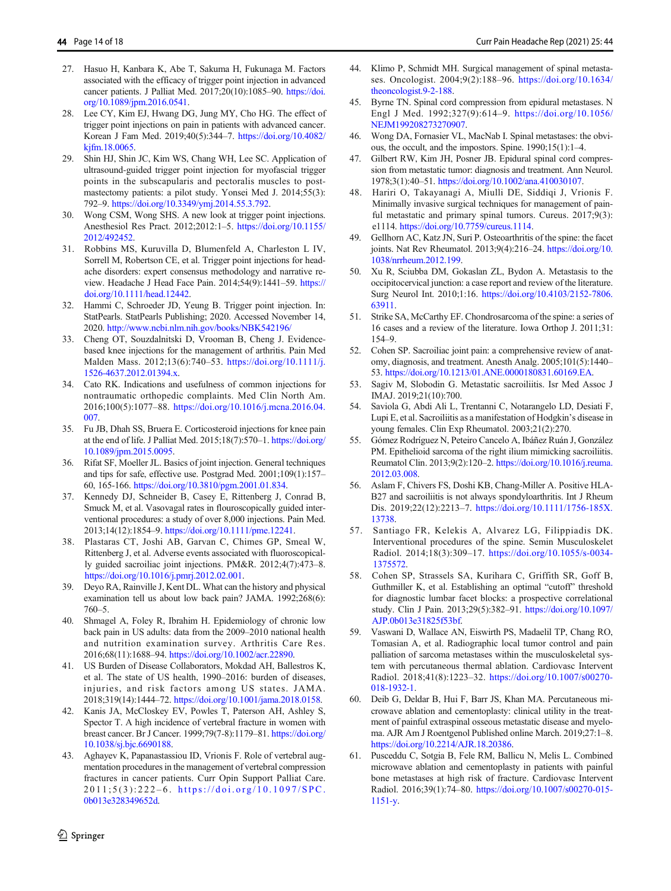- <span id="page-13-0"></span>27. Hasuo H, Kanbara K, Abe T, Sakuma H, Fukunaga M. Factors associated with the efficacy of trigger point injection in advanced cancer patients. J Palliat Med. 2017;20(10):1085–90. [https://doi.](https://doi.org/10.1089/jpm.2016.0541) [org/10.1089/jpm.2016.0541](https://doi.org/10.1089/jpm.2016.0541).
- 28. Lee CY, Kim EJ, Hwang DG, Jung MY, Cho HG. The effect of trigger point injections on pain in patients with advanced cancer. Korean J Fam Med. 2019;40(5):344–7. [https://doi.org/10.4082/](https://doi.org/10.4082/kjfm.18.0065) [kjfm.18.0065.](https://doi.org/10.4082/kjfm.18.0065)
- 29. Shin HJ, Shin JC, Kim WS, Chang WH, Lee SC. Application of ultrasound-guided trigger point injection for myofascial trigger points in the subscapularis and pectoralis muscles to postmastectomy patients: a pilot study. Yonsei Med J. 2014;55(3): 792–9. [https://doi.org/10.3349/ymj.2014.55.3.792.](https://doi.org/10.3349/ymj.2014.55.3.792)
- 30. Wong CSM, Wong SHS. A new look at trigger point injections. Anesthesiol Res Pract. 2012;2012:1–5. [https://doi.org/10.1155/](https://doi.org/10.1155/2012/492452) [2012/492452.](https://doi.org/10.1155/2012/492452)
- 31. Robbins MS, Kuruvilla D, Blumenfeld A, Charleston L IV, Sorrell M, Robertson CE, et al. Trigger point injections for headache disorders: expert consensus methodology and narrative review. Headache J Head Face Pain. 2014;54(9):1441–59. [https://](https://doi.org/10.1111/head.12442) [doi.org/10.1111/head.12442.](https://doi.org/10.1111/head.12442)
- 32. Hammi C, Schroeder JD, Yeung B. Trigger point injection. In: StatPearls. StatPearls Publishing; 2020. Accessed November 14, 2020. <http://www.ncbi.nlm.nih.gov/books/NBK542196/>
- 33. Cheng OT, Souzdalnitski D, Vrooman B, Cheng J. Evidencebased knee injections for the management of arthritis. Pain Med Malden Mass. 2012;13(6):740–53. [https://doi.org/10.1111/j.](https://doi.org/10.1111/j.1526-4637.2012.01394.x) [1526-4637.2012.01394.x.](https://doi.org/10.1111/j.1526-4637.2012.01394.x)
- 34. Cato RK. Indications and usefulness of common injections for nontraumatic orthopedic complaints. Med Clin North Am. 2016;100(5):1077–88. [https://doi.org/10.1016/j.mcna.2016.04.](https://doi.org/10.1016/j.mcna.2016.04.007) [007.](https://doi.org/10.1016/j.mcna.2016.04.007)
- 35. Fu JB, Dhah SS, Bruera E. Corticosteroid injections for knee pain at the end of life. J Palliat Med. 2015;18(7):570–1. [https://doi.org/](https://doi.org/10.1089/jpm.2015.0095) [10.1089/jpm.2015.0095](https://doi.org/10.1089/jpm.2015.0095).
- 36. Rifat SF, Moeller JL. Basics of joint injection. General techniques and tips for safe, effective use. Postgrad Med. 2001;109(1):157– 60, 165-166. [https://doi.org/10.3810/pgm.2001.01.834.](https://doi.org/10.3810/pgm.2001.01.834)
- 37. Kennedy DJ, Schneider B, Casey E, Rittenberg J, Conrad B, Smuck M, et al. Vasovagal rates in flouroscopically guided interventional procedures: a study of over 8,000 injections. Pain Med. 2013;14(12):1854–9. <https://doi.org/10.1111/pme.12241>.
- 38. Plastaras CT, Joshi AB, Garvan C, Chimes GP, Smeal W, Rittenberg J, et al. Adverse events associated with fluoroscopically guided sacroiliac joint injections. PM&R. 2012;4(7):473–8. <https://doi.org/10.1016/j.pmrj.2012.02.001>.
- 39. Deyo RA, Rainville J, Kent DL. What can the history and physical examination tell us about low back pain? JAMA. 1992;268(6): 760–5.
- 40. Shmagel A, Foley R, Ibrahim H. Epidemiology of chronic low back pain in US adults: data from the 2009–2010 national health and nutrition examination survey. Arthritis Care Res. 2016;68(11):1688–94. [https://doi.org/10.1002/acr.22890.](https://doi.org/10.1002/acr.22890)
- 41. US Burden of Disease Collaborators, Mokdad AH, Ballestros K, et al. The state of US health, 1990–2016: burden of diseases, injuries, and risk factors among US states. JAMA. 2018;319(14):1444–72. <https://doi.org/10.1001/jama.2018.0158>.
- 42. Kanis JA, McCloskey EV, Powles T, Paterson AH, Ashley S, Spector T. A high incidence of vertebral fracture in women with breast cancer. Br J Cancer. 1999;79(7-8):1179–81. [https://doi.org/](https://doi.org/10.1038/sj.bjc.6690188) [10.1038/sj.bjc.6690188.](https://doi.org/10.1038/sj.bjc.6690188)
- 43. Aghayev K, Papanastassiou ID, Vrionis F. Role of vertebral augmentation procedures in the management of vertebral compression fractures in cancer patients. Curr Opin Support Palliat Care. 2011;5(3):222 – 6 . [https://doi.org/10.1097/SPC.](https://doi.org/10.1097/SPC.0b013e328349652d) [0b013e328349652d.](https://doi.org/10.1097/SPC.0b013e328349652d)
- 44. Klimo P, Schmidt MH. Surgical management of spinal metastases. Oncologist. 2004;9(2):188–96. [https://doi.org/10.1634/](https://doi.org/10.1634/theoncologist.9-2-188) [theoncologist.9-2-188](https://doi.org/10.1634/theoncologist.9-2-188).
- 45. Byrne TN. Spinal cord compression from epidural metastases. N Engl J Med. 1992;327(9):614–9. [https://doi.org/10.1056/](https://doi.org/10.1056/NEJM199208273270907) [NEJM199208273270907](https://doi.org/10.1056/NEJM199208273270907).
- 46. Wong DA, Fornasier VL, MacNab I. Spinal metastases: the obvious, the occult, and the impostors. Spine. 1990;15(1):1–4.
- 47. Gilbert RW, Kim JH, Posner JB. Epidural spinal cord compression from metastatic tumor: diagnosis and treatment. Ann Neurol. 1978;3(1):40–51. [https://doi.org/10.1002/ana.410030107.](https://doi.org/10.1002/ana.410030107)
- 48. Hariri O, Takayanagi A, Miulli DE, Siddiqi J, Vrionis F. Minimally invasive surgical techniques for management of painful metastatic and primary spinal tumors. Cureus. 2017;9(3): e1114. [https://doi.org/10.7759/cureus.1114.](https://doi.org/10.7759/cureus.1114)
- 49. Gellhorn AC, Katz JN, Suri P. Osteoarthritis of the spine: the facet joints. Nat Rev Rheumatol. 2013;9(4):216–24. [https://doi.org/10.](https://doi.org/10.1038/nrrheum.2012.199) [1038/nrrheum.2012.199.](https://doi.org/10.1038/nrrheum.2012.199)
- 50. Xu R, Sciubba DM, Gokaslan ZL, Bydon A. Metastasis to the occipitocervical junction: a case report and review of the literature. Surg Neurol Int. 2010;1:16. [https://doi.org/10.4103/2152-7806.](https://doi.org/10.4103/2152-7806.63911) [63911](https://doi.org/10.4103/2152-7806.63911).
- 51. Strike SA, McCarthy EF. Chondrosarcoma of the spine: a series of 16 cases and a review of the literature. Iowa Orthop J. 2011;31: 154–9.
- 52. Cohen SP. Sacroiliac joint pain: a comprehensive review of anatomy, diagnosis, and treatment. Anesth Analg. 2005;101(5):1440– 53. <https://doi.org/10.1213/01.ANE.0000180831.60169.EA>.
- 53. Sagiv M, Slobodin G. Metastatic sacroiliitis. Isr Med Assoc J IMAJ. 2019;21(10):700.
- 54. Saviola G, Abdi Ali L, Trentanni C, Notarangelo LD, Desiati F, Lupi E, et al. Sacroiliitis as a manifestation of Hodgkin's disease in young females. Clin Exp Rheumatol. 2003;21(2):270.
- 55. Gómez Rodríguez N, Peteiro Cancelo A, Ibáñez Ruán J, González PM. Epithelioid sarcoma of the right ilium mimicking sacroiliitis. Reumatol Clin. 2013;9(2):120–2. [https://doi.org/10.1016/j.reuma.](https://doi.org/10.1016/j.reuma.2012.03.008) [2012.03.008.](https://doi.org/10.1016/j.reuma.2012.03.008)
- 56. Aslam F, Chivers FS, Doshi KB, Chang-Miller A. Positive HLA-B27 and sacroiliitis is not always spondyloarthritis. Int J Rheum Dis. 2019;22(12):2213–7. [https://doi.org/10.1111/1756-185X.](https://doi.org/10.1111/1756-185X.13738) [13738](https://doi.org/10.1111/1756-185X.13738).
- 57. Santiago FR, Kelekis A, Alvarez LG, Filippiadis DK. Interventional procedures of the spine. Semin Musculoskelet Radiol. 2014;18(3):309–17. [https://doi.org/10.1055/s-0034-](https://doi.org/10.1055/s-0034-1375572) [1375572](https://doi.org/10.1055/s-0034-1375572).
- 58. Cohen SP, Strassels SA, Kurihara C, Griffith SR, Goff B, Guthmiller K, et al. Establishing an optimal "cutoff" threshold for diagnostic lumbar facet blocks: a prospective correlational study. Clin J Pain. 2013;29(5):382–91. [https://doi.org/10.1097/](https://doi.org/10.1097/AJP.0b013e31825f53bf) [AJP.0b013e31825f53bf.](https://doi.org/10.1097/AJP.0b013e31825f53bf)
- 59. Vaswani D, Wallace AN, Eiswirth PS, Madaelil TP, Chang RO, Tomasian A, et al. Radiographic local tumor control and pain palliation of sarcoma metastases within the musculoskeletal system with percutaneous thermal ablation. Cardiovasc Intervent Radiol. 2018;41(8):1223–32. [https://doi.org/10.1007/s00270-](https://doi.org/10.1007/s00270-018-1932-1) [018-1932-1.](https://doi.org/10.1007/s00270-018-1932-1)
- 60. Deib G, Deldar B, Hui F, Barr JS, Khan MA. Percutaneous microwave ablation and cementoplasty: clinical utility in the treatment of painful extraspinal osseous metastatic disease and myeloma. AJR Am J Roentgenol Published online March. 2019;27:1–8. <https://doi.org/10.2214/AJR.18.20386>.
- 61. Pusceddu C, Sotgia B, Fele RM, Ballicu N, Melis L. Combined microwave ablation and cementoplasty in patients with painful bone metastases at high risk of fracture. Cardiovasc Intervent Radiol. 2016;39(1):74–80. [https://doi.org/10.1007/s00270-015-](https://doi.org/10.1007/s00270-015-1151-y) [1151-y.](https://doi.org/10.1007/s00270-015-1151-y)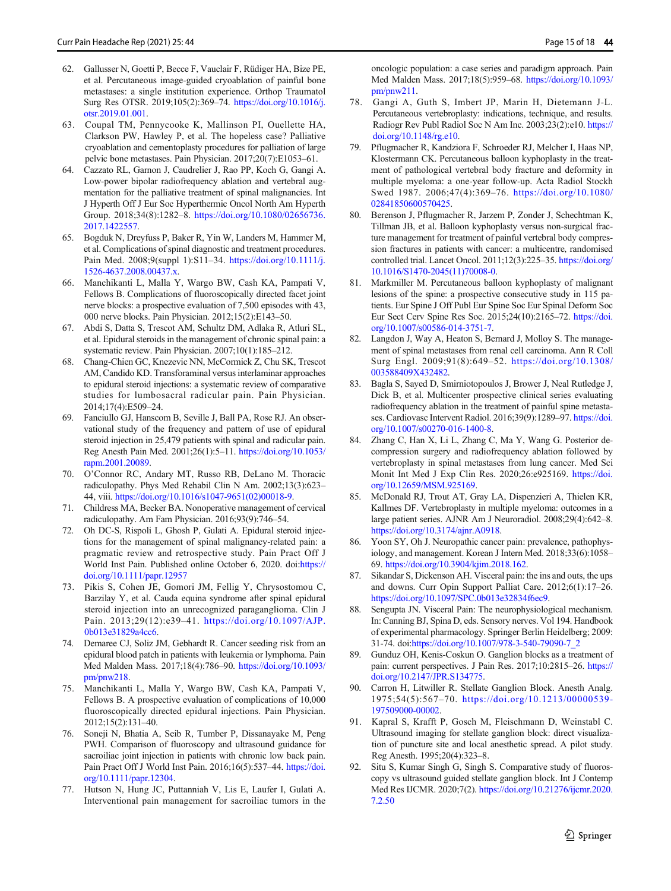- <span id="page-14-0"></span>62. Gallusser N, Goetti P, Becce F, Vauclair F, Rüdiger HA, Bize PE, et al. Percutaneous image-guided cryoablation of painful bone metastases: a single institution experience. Orthop Traumatol Surg Res OTSR. 2019;105(2):369–74. [https://doi.org/10.1016/j.](https://doi.org/10.1016/j.otsr.2019.01.001) [otsr.2019.01.001.](https://doi.org/10.1016/j.otsr.2019.01.001)
- 63. Coupal TM, Pennycooke K, Mallinson PI, Ouellette HA, Clarkson PW, Hawley P, et al. The hopeless case? Palliative cryoablation and cementoplasty procedures for palliation of large pelvic bone metastases. Pain Physician. 2017;20(7):E1053–61.
- 64. Cazzato RL, Garnon J, Caudrelier J, Rao PP, Koch G, Gangi A. Low-power bipolar radiofrequency ablation and vertebral augmentation for the palliative treatment of spinal malignancies. Int J Hyperth Off J Eur Soc Hyperthermic Oncol North Am Hyperth Group. 2018;34(8):1282–8. [https://doi.org/10.1080/02656736.](https://doi.org/10.1080/02656736.2017.1422557) [2017.1422557.](https://doi.org/10.1080/02656736.2017.1422557)
- 65. Bogduk N, Dreyfuss P, Baker R, Yin W, Landers M, Hammer M, et al. Complications of spinal diagnostic and treatment procedures. Pain Med. 2008;9(suppl 1):S11–34. [https://doi.org/10.1111/j.](https://doi.org/10.1111/j.1526-4637.2008.00437.x) [1526-4637.2008.00437.x](https://doi.org/10.1111/j.1526-4637.2008.00437.x).
- 66. Manchikanti L, Malla Y, Wargo BW, Cash KA, Pampati V, Fellows B. Complications of fluoroscopically directed facet joint nerve blocks: a prospective evaluation of 7,500 episodes with 43, 000 nerve blocks. Pain Physician. 2012;15(2):E143–50.
- 67. Abdi S, Datta S, Trescot AM, Schultz DM, Adlaka R, Atluri SL, et al. Epidural steroids in the management of chronic spinal pain: a systematic review. Pain Physician. 2007;10(1):185–212.
- 68. Chang-Chien GC, Knezevic NN, McCormick Z, Chu SK, Trescot AM, Candido KD. Transforaminal versus interlaminar approaches to epidural steroid injections: a systematic review of comparative studies for lumbosacral radicular pain. Pain Physician. 2014;17(4):E509–24.
- 69. Fanciullo GJ, Hanscom B, Seville J, Ball PA, Rose RJ. An observational study of the frequency and pattern of use of epidural steroid injection in 25,479 patients with spinal and radicular pain. Reg Anesth Pain Med. 2001;26(1):5–11. [https://doi.org/10.1053/](https://doi.org/10.1053/rapm.2001.20089) [rapm.2001.20089](https://doi.org/10.1053/rapm.2001.20089).
- 70. O'Connor RC, Andary MT, Russo RB, DeLano M. Thoracic radiculopathy. Phys Med Rehabil Clin N Am. 2002;13(3):623– 44, viii. [https://doi.org/10.1016/s1047-9651\(02\)00018-9](https://doi.org/10.1016/s1047-9651(02)00018-9).
- 71. Childress MA, Becker BA. Nonoperative management of cervical radiculopathy. Am Fam Physician. 2016;93(9):746–54.
- 72. Oh DC-S, Rispoli L, Ghosh P, Gulati A. Epidural steroid injections for the management of spinal malignancy-related pain: a pragmatic review and retrospective study. Pain Pract Off J World Inst Pain. Published online October 6, 2020. doi[:https://](https://doi.org/10.1111/papr.12957) [doi.org/10.1111/papr.12957](https://doi.org/10.1111/papr.12957)
- 73. Pikis S, Cohen JE, Gomori JM, Fellig Y, Chrysostomou C, Barzilay Y, et al. Cauda equina syndrome after spinal epidural steroid injection into an unrecognized paraganglioma. Clin J Pain. 2013;29(12):e39–41. [https://doi.org/10.1097/AJP.](https://doi.org/10.1097/AJP.0b013e31829a4cc6) [0b013e31829a4cc6.](https://doi.org/10.1097/AJP.0b013e31829a4cc6)
- 74. Demaree CJ, Soliz JM, Gebhardt R. Cancer seeding risk from an epidural blood patch in patients with leukemia or lymphoma. Pain Med Malden Mass. 2017;18(4):786–90. [https://doi.org/10.1093/](https://doi.org/10.1093/pm/pnw218) [pm/pnw218.](https://doi.org/10.1093/pm/pnw218)
- 75. Manchikanti L, Malla Y, Wargo BW, Cash KA, Pampati V, Fellows B. A prospective evaluation of complications of 10,000 fluoroscopically directed epidural injections. Pain Physician. 2012;15(2):131–40.
- 76. Soneji N, Bhatia A, Seib R, Tumber P, Dissanayake M, Peng PWH. Comparison of fluoroscopy and ultrasound guidance for sacroiliac joint injection in patients with chronic low back pain. Pain Pract Off J World Inst Pain. 2016;16(5):537–44. [https://doi.](https://doi.org/10.1111/papr.12304) [org/10.1111/papr.12304.](https://doi.org/10.1111/papr.12304)
- 77. Hutson N, Hung JC, Puttanniah V, Lis E, Laufer I, Gulati A. Interventional pain management for sacroiliac tumors in the

oncologic population: a case series and paradigm approach. Pain Med Malden Mass. 2017;18(5):959–68. [https://doi.org/10.1093/](https://doi.org/10.1093/pm/pnw211) [pm/pnw211](https://doi.org/10.1093/pm/pnw211).

- 78. Gangi A, Guth S, Imbert JP, Marin H, Dietemann J-L. Percutaneous vertebroplasty: indications, technique, and results. Radiogr Rev Publ Radiol Soc N Am Inc. 2003;23(2):e10. [https://](https://doi.org/10.1148/rg.e10) [doi.org/10.1148/rg.e10](https://doi.org/10.1148/rg.e10).
- 79. Pflugmacher R, Kandziora F, Schroeder RJ, Melcher I, Haas NP, Klostermann CK. Percutaneous balloon kyphoplasty in the treatment of pathological vertebral body fracture and deformity in multiple myeloma: a one-year follow-up. Acta Radiol Stockh Swed 1987. 2006;47(4):369–76. [https://doi.org/10.1080/](https://doi.org/10.1080/02841850600570425) [02841850600570425.](https://doi.org/10.1080/02841850600570425)
- 80. Berenson J, Pflugmacher R, Jarzem P, Zonder J, Schechtman K, Tillman JB, et al. Balloon kyphoplasty versus non-surgical fracture management for treatment of painful vertebral body compression fractures in patients with cancer: a multicentre, randomised controlled trial. Lancet Oncol. 2011;12(3):225–35. [https://doi.org/](https://doi.org/10.1016/S1470-2045(11)70008-0) [10.1016/S1470-2045\(11\)70008-0.](https://doi.org/10.1016/S1470-2045(11)70008-0)
- 81. Markmiller M. Percutaneous balloon kyphoplasty of malignant lesions of the spine: a prospective consecutive study in 115 patients. Eur Spine J Off Publ Eur Spine Soc Eur Spinal Deform Soc Eur Sect Cerv Spine Res Soc. 2015;24(10):2165–72. [https://doi.](https://doi.org/10.1007/s00586-014-3751-7) [org/10.1007/s00586-014-3751-7.](https://doi.org/10.1007/s00586-014-3751-7)
- 82. Langdon J, Way A, Heaton S, Bernard J, Molloy S. The management of spinal metastases from renal cell carcinoma. Ann R Coll Surg Engl. 2009;91(8):649–52. [https://doi.org/10.1308/](https://doi.org/10.1308/003588409X432482) [003588409X432482](https://doi.org/10.1308/003588409X432482).
- 83. Bagla S, Sayed D, Smirniotopoulos J, Brower J, Neal Rutledge J, Dick B, et al. Multicenter prospective clinical series evaluating radiofrequency ablation in the treatment of painful spine metastases. Cardiovasc Intervent Radiol. 2016;39(9):1289–97. [https://doi.](https://doi.org/10.1007/s00270-016-1400-8) [org/10.1007/s00270-016-1400-8](https://doi.org/10.1007/s00270-016-1400-8).
- 84. Zhang C, Han X, Li L, Zhang C, Ma Y, Wang G. Posterior decompression surgery and radiofrequency ablation followed by vertebroplasty in spinal metastases from lung cancer. Med Sci Monit Int Med J Exp Clin Res. 2020;26:e925169. [https://doi.](https://doi.org/10.12659/MSM.925169) [org/10.12659/MSM.925169.](https://doi.org/10.12659/MSM.925169)
- 85. McDonald RJ, Trout AT, Gray LA, Dispenzieri A, Thielen KR, Kallmes DF. Vertebroplasty in multiple myeloma: outcomes in a large patient series. AJNR Am J Neuroradiol. 2008;29(4):642–8. [https://doi.org/10.3174/ajnr.A0918.](https://doi.org/10.3174/ajnr.A0918)
- 86. Yoon SY, Oh J. Neuropathic cancer pain: prevalence, pathophysiology, and management. Korean J Intern Med. 2018;33(6):1058– 69. <https://doi.org/10.3904/kjim.2018.162>.
- Sikandar S, Dickenson AH. Visceral pain: the ins and outs, the ups and downs. Curr Opin Support Palliat Care. 2012;6(1):17–26. <https://doi.org/10.1097/SPC.0b013e32834f6ec9>.
- 88. Sengupta JN. Visceral Pain: The neurophysiological mechanism. In: Canning BJ, Spina D, eds. Sensory nerves. Vol 194. Handbook of experimental pharmacology. Springer Berlin Heidelberg; 2009: 31-74. doi:[https://doi.org/10.1007/978-3-540-79090-7\\_2](https://doi.org/10.1007/978-3-540-79090-7_2)
- 89. Gunduz OH, Kenis-Coskun O. Ganglion blocks as a treatment of pain: current perspectives. J Pain Res. 2017;10:2815–26. [https://](https://doi.org/10.2147/JPR.S134775) [doi.org/10.2147/JPR.S134775.](https://doi.org/10.2147/JPR.S134775)
- 90. Carron H, Litwiller R. Stellate Ganglion Block. Anesth Analg. 1975;54(5):567–70. [https://doi.org/10.1213/00000539-](https://doi.org/10.1213/00000539-197509000-00002) [197509000-00002](https://doi.org/10.1213/00000539-197509000-00002).
- 91. Kapral S, Krafft P, Gosch M, Fleischmann D, Weinstabl C. Ultrasound imaging for stellate ganglion block: direct visualization of puncture site and local anesthetic spread. A pilot study. Reg Anesth. 1995;20(4):323–8.
- 92. Situ S, Kumar Singh G, Singh S. Comparative study of fluoroscopy vs ultrasound guided stellate ganglion block. Int J Contemp Med Res IJCMR. 2020;7(2). [https://doi.org/10.21276/ijcmr.2020.](https://doi.org/10.21276/ijcmr.2020.7.2.50) [7.2.50](https://doi.org/10.21276/ijcmr.2020.7.2.50)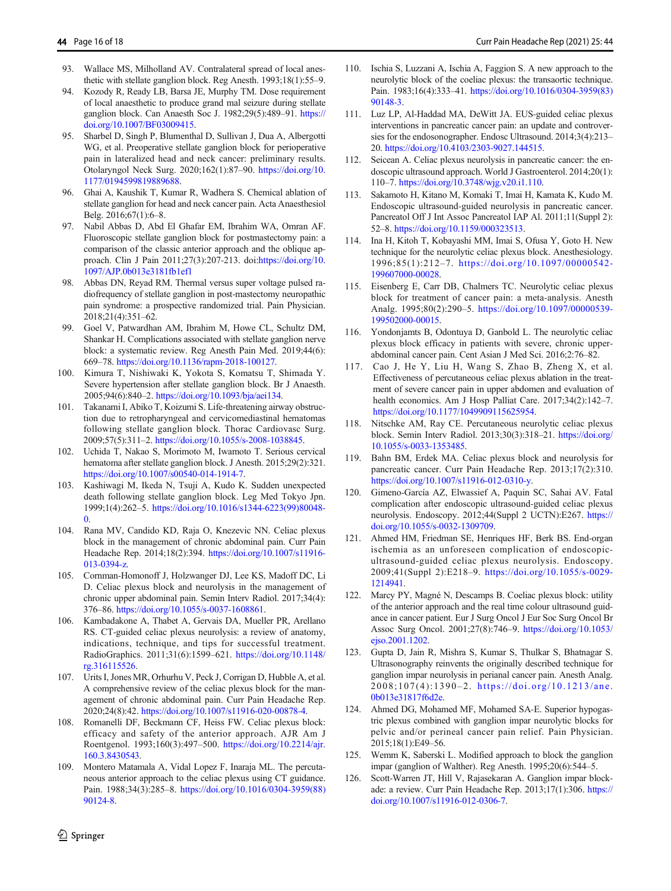- <span id="page-15-0"></span>93. Wallace MS, Milholland AV. Contralateral spread of local anesthetic with stellate ganglion block. Reg Anesth. 1993;18(1):55–9.
- 94. Kozody R, Ready LB, Barsa JE, Murphy TM. Dose requirement of local anaesthetic to produce grand mal seizure during stellate ganglion block. Can Anaesth Soc J. 1982;29(5):489–91. [https://](https://doi.org/10.1007/BF03009415) [doi.org/10.1007/BF03009415](https://doi.org/10.1007/BF03009415).
- 95. Sharbel D, Singh P, Blumenthal D, Sullivan J, Dua A, Albergotti WG, et al. Preoperative stellate ganglion block for perioperative pain in lateralized head and neck cancer: preliminary results. Otolaryngol Neck Surg. 2020;162(1):87–90. [https://doi.org/10.](https://doi.org/10.1177/0194599819889688) [1177/0194599819889688](https://doi.org/10.1177/0194599819889688).
- 96. Ghai A, Kaushik T, Kumar R, Wadhera S. Chemical ablation of stellate ganglion for head and neck cancer pain. Acta Anaesthesiol Belg. 2016;67(1):6–8.
- 97. Nabil Abbas D, Abd El Ghafar EM, Ibrahim WA, Omran AF. Fluoroscopic stellate ganglion block for postmastectomy pain: a comparison of the classic anterior approach and the oblique approach. Clin J Pain 2011;27(3):207-213. doi:[https://doi.org/10.](https://doi.org/10.1097/AJP.0b013e3181fb1ef1) [1097/AJP.0b013e3181fb1ef1](https://doi.org/10.1097/AJP.0b013e3181fb1ef1)
- 98. Abbas DN, Reyad RM. Thermal versus super voltage pulsed radiofrequency of stellate ganglion in post-mastectomy neuropathic pain syndrome: a prospective randomized trial. Pain Physician. 2018;21(4):351–62.
- 99. Goel V, Patwardhan AM, Ibrahim M, Howe CL, Schultz DM, Shankar H. Complications associated with stellate ganglion nerve block: a systematic review. Reg Anesth Pain Med. 2019;44(6): 669–78. [https://doi.org/10.1136/rapm-2018-100127.](https://doi.org/10.1136/rapm-2018-100127)
- 100. Kimura T, Nishiwaki K, Yokota S, Komatsu T, Shimada Y. Severe hypertension after stellate ganglion block. Br J Anaesth. 2005;94(6):840–2. <https://doi.org/10.1093/bja/aei134>.
- 101. Takanami I, Abiko T, Koizumi S. Life-threatening airway obstruction due to retropharyngeal and cervicomediastinal hematomas following stellate ganglion block. Thorac Cardiovasc Surg. 2009;57(5):311–2. [https://doi.org/10.1055/s-2008-1038845.](https://doi.org/10.1055/s-2008-1038845)
- 102. Uchida T, Nakao S, Morimoto M, Iwamoto T. Serious cervical hematoma after stellate ganglion block. J Anesth. 2015;29(2):321. <https://doi.org/10.1007/s00540-014-1914-7>.
- 103. Kashiwagi M, Ikeda N, Tsuji A, Kudo K. Sudden unexpected death following stellate ganglion block. Leg Med Tokyo Jpn. 1999;1(4):262–5. [https://doi.org/10.1016/s1344-6223\(99\)80048-](https://doi.org/10.1016/s1344-6223(99)80048-0)  $\Omega$ .
- 104. Rana MV, Candido KD, Raja O, Knezevic NN. Celiac plexus block in the management of chronic abdominal pain. Curr Pain Headache Rep. 2014;18(2):394. [https://doi.org/10.1007/s11916-](https://doi.org/10.1007/s11916-013-0394-z) [013-0394-z](https://doi.org/10.1007/s11916-013-0394-z).
- 105. Cornman-Homonoff J, Holzwanger DJ, Lee KS, Madoff DC, Li D. Celiac plexus block and neurolysis in the management of chronic upper abdominal pain. Semin Interv Radiol. 2017;34(4): 376–86. <https://doi.org/10.1055/s-0037-1608861>.
- 106. Kambadakone A, Thabet A, Gervais DA, Mueller PR, Arellano RS. CT-guided celiac plexus neurolysis: a review of anatomy, indications, technique, and tips for successful treatment. RadioGraphics. 2011;31(6):1599–621. [https://doi.org/10.1148/](https://doi.org/10.1148/rg.316115526) [rg.316115526](https://doi.org/10.1148/rg.316115526).
- 107. Urits I, Jones MR, Orhurhu V, Peck J, Corrigan D, Hubble A, et al. A comprehensive review of the celiac plexus block for the management of chronic abdominal pain. Curr Pain Headache Rep. 2020;24(8):42. <https://doi.org/10.1007/s11916-020-00878-4>.
- 108. Romanelli DF, Beckmann CF, Heiss FW. Celiac plexus block: efficacy and safety of the anterior approach. AJR Am J Roentgenol. 1993;160(3):497–500. [https://doi.org/10.2214/ajr.](https://doi.org/10.2214/ajr.160.3.8430543) [160.3.8430543.](https://doi.org/10.2214/ajr.160.3.8430543)
- 109. Montero Matamala A, Vidal Lopez F, Inaraja ML. The percutaneous anterior approach to the celiac plexus using CT guidance. Pain. 1988;34(3):285–8. [https://doi.org/10.1016/0304-3959\(88\)](https://doi.org/10.1016/0304-3959(88)90124-8) [90124-8.](https://doi.org/10.1016/0304-3959(88)90124-8)
- 110. Ischia S, Luzzani A, Ischia A, Faggion S. A new approach to the neurolytic block of the coeliac plexus: the transaortic technique. Pain. 1983;16(4):333–41. [https://doi.org/10.1016/0304-3959\(83\)](https://doi.org/10.1016/0304-3959(83)90148-3) [90148-3.](https://doi.org/10.1016/0304-3959(83)90148-3)
- 111. Luz LP, Al-Haddad MA, DeWitt JA. EUS-guided celiac plexus interventions in pancreatic cancer pain: an update and controversies for the endosonographer. Endosc Ultrasound. 2014;3(4):213– 20. <https://doi.org/10.4103/2303-9027.144515>.
- 112. Seicean A. Celiac plexus neurolysis in pancreatic cancer: the endoscopic ultrasound approach. World J Gastroenterol. 2014;20(1): 110–7. [https://doi.org/10.3748/wjg.v20.i1.110.](https://doi.org/10.3748/wjg.v20.i1.110)
- 113. Sakamoto H, Kitano M, Komaki T, Imai H, Kamata K, Kudo M. Endoscopic ultrasound-guided neurolysis in pancreatic cancer. Pancreatol Off J Int Assoc Pancreatol IAP Al. 2011;11(Suppl 2): 52–8. <https://doi.org/10.1159/000323513>.
- 114. Ina H, Kitoh T, Kobayashi MM, Imai S, Ofusa Y, Goto H. New technique for the neurolytic celiac plexus block. Anesthesiology. 1996;85(1):212–7. [https://doi.org/10.1097/00000542-](https://doi.org/10.1097/00000542-199607000-00028) [199607000-00028.](https://doi.org/10.1097/00000542-199607000-00028)
- 115. Eisenberg E, Carr DB, Chalmers TC. Neurolytic celiac plexus block for treatment of cancer pain: a meta-analysis. Anesth Analg. 1995;80(2):290–5. [https://doi.org/10.1097/00000539-](https://doi.org/10.1097/00000539-199502000-00015) [199502000-00015](https://doi.org/10.1097/00000539-199502000-00015).
- 116. Yondonjamts B, Odontuya D, Ganbold L. The neurolytic celiac plexus block efficacy in patients with severe, chronic upperabdominal cancer pain. Cent Asian J Med Sci. 2016;2:76–82.
- 117. Cao J, He Y, Liu H, Wang S, Zhao B, Zheng X, et al. Effectiveness of percutaneous celiac plexus ablation in the treatment of severe cancer pain in upper abdomen and evaluation of health economics. Am J Hosp Palliat Care. 2017;34(2):142-7. <https://doi.org/10.1177/1049909115625954>.
- 118. Nitschke AM, Ray CE. Percutaneous neurolytic celiac plexus block. Semin Interv Radiol. 2013;30(3):318–21. [https://doi.org/](https://doi.org/10.1055/s-0033-1353485) [10.1055/s-0033-1353485.](https://doi.org/10.1055/s-0033-1353485)
- 119. Bahn BM, Erdek MA. Celiac plexus block and neurolysis for pancreatic cancer. Curr Pain Headache Rep. 2013;17(2):310. <https://doi.org/10.1007/s11916-012-0310-y>.
- 120. Gimeno-García AZ, Elwassief A, Paquin SC, Sahai AV. Fatal complication after endoscopic ultrasound-guided celiac plexus neurolysis. Endoscopy. 2012;44(Suppl 2 UCTN):E267. [https://](https://doi.org/10.1055/s-0032-1309709) [doi.org/10.1055/s-0032-1309709](https://doi.org/10.1055/s-0032-1309709).
- 121. Ahmed HM, Friedman SE, Henriques HF, Berk BS. End-organ ischemia as an unforeseen complication of endoscopicultrasound-guided celiac plexus neurolysis. Endoscopy. 2009;41(Suppl 2):E218–9. [https://doi.org/10.1055/s-0029-](https://doi.org/10.1055/s-0029-1214941) [1214941](https://doi.org/10.1055/s-0029-1214941).
- 122. Marcy PY, Magné N, Descamps B. Coeliac plexus block: utility of the anterior approach and the real time colour ultrasound guidance in cancer patient. Eur J Surg Oncol J Eur Soc Surg Oncol Br Assoc Surg Oncol. 2001;27(8):746–9. [https://doi.org/10.1053/](https://doi.org/10.1053/ejso.2001.1202) [ejso.2001.1202.](https://doi.org/10.1053/ejso.2001.1202)
- 123. Gupta D, Jain R, Mishra S, Kumar S, Thulkar S, Bhatnagar S. Ultrasonography reinvents the originally described technique for ganglion impar neurolysis in perianal cancer pain. Anesth Analg. 2008;107(4):1390–2. [https://doi.org/10.1213/ane.](https://doi.org/10.1213/ane.0b013e31817f6d2e) [0b013e31817f6d2e.](https://doi.org/10.1213/ane.0b013e31817f6d2e)
- 124. Ahmed DG, Mohamed MF, Mohamed SA-E. Superior hypogastric plexus combined with ganglion impar neurolytic blocks for pelvic and/or perineal cancer pain relief. Pain Physician. 2015;18(1):E49–56.
- 125. Wemm K, Saberski L. Modified approach to block the ganglion impar (ganglion of Walther). Reg Anesth. 1995;20(6):544–5.
- 126. Scott-Warren JT, Hill V, Rajasekaran A. Ganglion impar blockade: a review. Curr Pain Headache Rep. 2013;17(1):306. [https://](https://doi.org/10.1007/s11916-012-0306-7) [doi.org/10.1007/s11916-012-0306-7.](https://doi.org/10.1007/s11916-012-0306-7)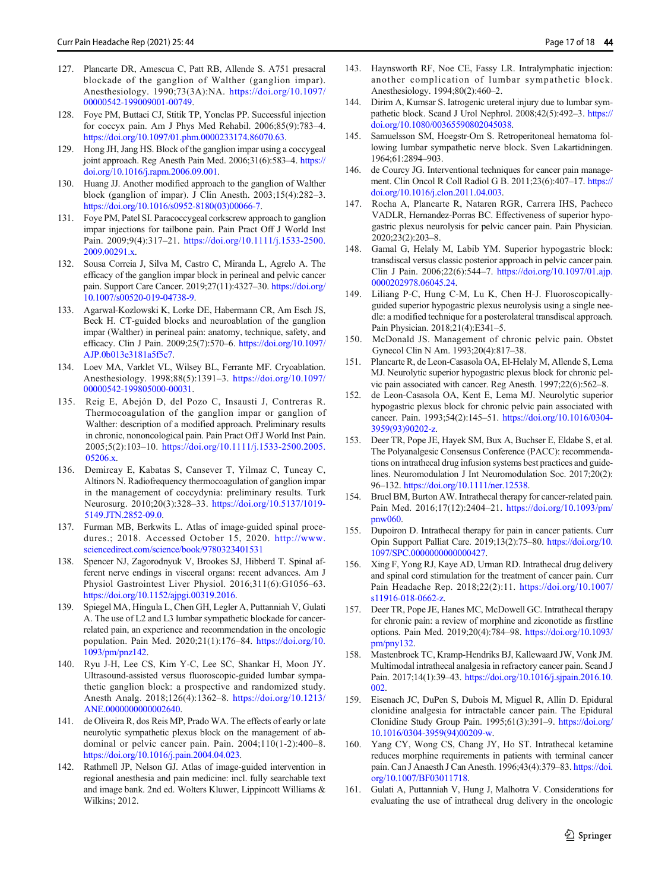- <span id="page-16-0"></span>127. Plancarte DR, Amescua C, Patt RB, Allende S. A751 presacral blockade of the ganglion of Walther (ganglion impar). Anesthesiology. 1990;73(3A):NA. [https://doi.org/10.1097/](https://doi.org/10.1097/00000542-199009001-00749) [00000542-199009001-00749](https://doi.org/10.1097/00000542-199009001-00749).
- 128. Foye PM, Buttaci CJ, Stitik TP, Yonclas PP. Successful injection for coccyx pain. Am J Phys Med Rehabil. 2006;85(9):783–4. [https://doi.org/10.1097/01.phm.0000233174.86070.63.](https://doi.org/10.1097/01.phm.0000233174.86070.63)
- 129. Hong JH, Jang HS. Block of the ganglion impar using a coccygeal joint approach. Reg Anesth Pain Med. 2006;31(6):583-4. [https://](https://doi.org/10.1016/j.rapm.2006.09.001) [doi.org/10.1016/j.rapm.2006.09.001](https://doi.org/10.1016/j.rapm.2006.09.001).
- 130. Huang JJ. Another modified approach to the ganglion of Walther block (ganglion of impar). J Clin Anesth. 2003;15(4):282–3. [https://doi.org/10.1016/s0952-8180\(03\)00066-7](https://doi.org/10.1016/s0952-8180(03)00066-7).
- 131. Foye PM, Patel SI. Paracoccygeal corkscrew approach to ganglion impar injections for tailbone pain. Pain Pract Off J World Inst Pain. 2009;9(4):317–21. [https://doi.org/10.1111/j.1533-2500.](https://doi.org/10.1111/j.1533-2500.2009.00291.x) [2009.00291.x.](https://doi.org/10.1111/j.1533-2500.2009.00291.x)
- 132. Sousa Correia J, Silva M, Castro C, Miranda L, Agrelo A. The efficacy of the ganglion impar block in perineal and pelvic cancer pain. Support Care Cancer. 2019;27(11):4327–30. [https://doi.org/](https://doi.org/10.1007/s00520-019-04738-9) [10.1007/s00520-019-04738-9](https://doi.org/10.1007/s00520-019-04738-9).
- 133. Agarwal-Kozlowski K, Lorke DE, Habermann CR, Am Esch JS, Beck H. CT-guided blocks and neuroablation of the ganglion impar (Walther) in perineal pain: anatomy, technique, safety, and efficacy. Clin J Pain. 2009;25(7):570–6. [https://doi.org/10.1097/](https://doi.org/10.1097/AJP.0b013e3181a5f5c7) [AJP.0b013e3181a5f5c7](https://doi.org/10.1097/AJP.0b013e3181a5f5c7).
- 134. Loev MA, Varklet VL, Wilsey BL, Ferrante MF. Cryoablation. Anesthesiology. 1998;88(5):1391–3. [https://doi.org/10.1097/](https://doi.org/10.1097/00000542-199805000-00031) [00000542-199805000-00031](https://doi.org/10.1097/00000542-199805000-00031).
- 135. Reig E, Abejón D, del Pozo C, Insausti J, Contreras R. Thermocoagulation of the ganglion impar or ganglion of Walther: description of a modified approach. Preliminary results in chronic, nononcological pain. Pain Pract Off J World Inst Pain. 2005;5(2):103–10. [https://doi.org/10.1111/j.1533-2500.2005.](https://doi.org/10.1111/j.1533-2500.2005.05206.x) [05206.x.](https://doi.org/10.1111/j.1533-2500.2005.05206.x)
- 136. Demircay E, Kabatas S, Cansever T, Yilmaz C, Tuncay C, Altinors N. Radiofrequency thermocoagulation of ganglion impar in the management of coccydynia: preliminary results. Turk Neurosurg. 2010;20(3):328–33. [https://doi.org/10.5137/1019-](https://doi.org/10.5137/1019-5149.JTN.2852-09.0) [5149.JTN.2852-09.0](https://doi.org/10.5137/1019-5149.JTN.2852-09.0).
- 137. Furman MB, Berkwits L. Atlas of image-guided spinal procedures.; 2018. Accessed October 15, 2020. [http://www.](http://www.sciencedirect.com/science/book/9780323401531) [sciencedirect.com/science/book/9780323401531](http://www.sciencedirect.com/science/book/9780323401531)
- 138. Spencer NJ, Zagorodnyuk V, Brookes SJ, Hibberd T. Spinal afferent nerve endings in visceral organs: recent advances. Am J Physiol Gastrointest Liver Physiol. 2016;311(6):G1056–63. [https://doi.org/10.1152/ajpgi.00319.2016.](https://doi.org/10.1152/ajpgi.00319.2016)
- 139. Spiegel MA, Hingula L, Chen GH, Legler A, Puttanniah V, Gulati A. The use of L2 and L3 lumbar sympathetic blockade for cancerrelated pain, an experience and recommendation in the oncologic population. Pain Med. 2020;21(1):176–84. [https://doi.org/10.](https://doi.org/10.1093/pm/pnz142) [1093/pm/pnz142.](https://doi.org/10.1093/pm/pnz142)
- 140. Ryu J-H, Lee CS, Kim Y-C, Lee SC, Shankar H, Moon JY. Ultrasound-assisted versus fluoroscopic-guided lumbar sympathetic ganglion block: a prospective and randomized study. Anesth Analg. 2018;126(4):1362–8. [https://doi.org/10.1213/](https://doi.org/10.1213/ANE.0000000000002640) [ANE.0000000000002640.](https://doi.org/10.1213/ANE.0000000000002640)
- 141. de Oliveira R, dos Reis MP, Prado WA. The effects of early or late neurolytic sympathetic plexus block on the management of abdominal or pelvic cancer pain. Pain. 2004;110(1-2):400–8. [https://doi.org/10.1016/j.pain.2004.04.023.](https://doi.org/10.1016/j.pain.2004.04.023)
- 142. Rathmell JP, Nelson GJ. Atlas of image-guided intervention in regional anesthesia and pain medicine: incl. fully searchable text and image bank. 2nd ed. Wolters Kluwer, Lippincott Williams & Wilkins; 2012.
- 143. Haynsworth RF, Noe CE, Fassy LR. Intralymphatic injection: another complication of lumbar sympathetic block. Anesthesiology. 1994;80(2):460–2.
- 144. Dirim A, Kumsar S. Iatrogenic ureteral injury due to lumbar sympathetic block. Scand J Urol Nephrol. 2008;42(5):492–3. [https://](https://doi.org/10.1080/00365590802045038) [doi.org/10.1080/00365590802045038](https://doi.org/10.1080/00365590802045038).
- 145. Samuelsson SM, Hoegstr-Om S. Retroperitoneal hematoma following lumbar sympathetic nerve block. Sven Lakartidningen. 1964;61:2894–903.
- 146. de Courcy JG. Interventional techniques for cancer pain management. Clin Oncol R Coll Radiol G B. 2011;23(6):407–17. [https://](https://doi.org/10.1016/j.clon.2011.04.003) [doi.org/10.1016/j.clon.2011.04.003](https://doi.org/10.1016/j.clon.2011.04.003).
- 147. Rocha A, Plancarte R, Nataren RGR, Carrera IHS, Pacheco VADLR, Hernandez-Porras BC. Effectiveness of superior hypogastric plexus neurolysis for pelvic cancer pain. Pain Physician. 2020;23(2):203–8.
- 148. Gamal G, Helaly M, Labib YM. Superior hypogastric block: transdiscal versus classic posterior approach in pelvic cancer pain. Clin J Pain. 2006;22(6):544–7. [https://doi.org/10.1097/01.ajp.](https://doi.org/10.1097/01.ajp.0000202978.06045.24) [0000202978.06045.24](https://doi.org/10.1097/01.ajp.0000202978.06045.24).
- 149. Liliang P-C, Hung C-M, Lu K, Chen H-J. Fluoroscopicallyguided superior hypogastric plexus neurolysis using a single needle: a modified technique for a posterolateral transdiscal approach. Pain Physician. 2018;21(4):E341–5.
- 150. McDonald JS. Management of chronic pelvic pain. Obstet Gynecol Clin N Am. 1993;20(4):817–38.
- 151. Plancarte R, de Leon-Casasola OA, El-Helaly M, Allende S, Lema MJ. Neurolytic superior hypogastric plexus block for chronic pelvic pain associated with cancer. Reg Anesth. 1997;22(6):562–8.
- 152. de Leon-Casasola OA, Kent E, Lema MJ. Neurolytic superior hypogastric plexus block for chronic pelvic pain associated with cancer. Pain. 1993;54(2):145–51. [https://doi.org/10.1016/0304-](https://doi.org/10.1016/0304-3959(93)90202-z) [3959\(93\)90202-z.](https://doi.org/10.1016/0304-3959(93)90202-z)
- 153. Deer TR, Pope JE, Hayek SM, Bux A, Buchser E, Eldabe S, et al. The Polyanalgesic Consensus Conference (PACC): recommendations on intrathecal drug infusion systems best practices and guidelines. Neuromodulation J Int Neuromodulation Soc. 2017;20(2): 96–132. [https://doi.org/10.1111/ner.12538.](https://doi.org/10.1111/ner.12538)
- 154. Bruel BM, Burton AW. Intrathecal therapy for cancer-related pain. Pain Med. 2016;17(12):2404–21. [https://doi.org/10.1093/pm/](https://doi.org/10.1093/pm/pnw060) [pnw060.](https://doi.org/10.1093/pm/pnw060)
- 155. Dupoiron D. Intrathecal therapy for pain in cancer patients. Curr Opin Support Palliat Care. 2019;13(2):75–80. [https://doi.org/10.](https://doi.org/10.1097/SPC.0000000000000427) [1097/SPC.0000000000000427.](https://doi.org/10.1097/SPC.0000000000000427)
- 156. Xing F, Yong RJ, Kaye AD, Urman RD. Intrathecal drug delivery and spinal cord stimulation for the treatment of cancer pain. Curr Pain Headache Rep. 2018;22(2):11. [https://doi.org/10.1007/](https://doi.org/10.1007/s11916-018-0662-z) [s11916-018-0662-z.](https://doi.org/10.1007/s11916-018-0662-z)
- 157. Deer TR, Pope JE, Hanes MC, McDowell GC. Intrathecal therapy for chronic pain: a review of morphine and ziconotide as firstline options. Pain Med. 2019;20(4):784–98. [https://doi.org/10.1093/](https://doi.org/10.1093/pm/pny132) [pm/pny132.](https://doi.org/10.1093/pm/pny132)
- 158. Mastenbroek TC, Kramp-Hendriks BJ, Kallewaard JW, Vonk JM. Multimodal intrathecal analgesia in refractory cancer pain. Scand J Pain. 2017;14(1):39–43. [https://doi.org/10.1016/j.sjpain.2016.10.](https://doi.org/10.1016/j.sjpain.2016.10.002) [002.](https://doi.org/10.1016/j.sjpain.2016.10.002)
- 159. Eisenach JC, DuPen S, Dubois M, Miguel R, Allin D. Epidural clonidine analgesia for intractable cancer pain. The Epidural Clonidine Study Group Pain. 1995;61(3):391–9. [https://doi.org/](https://doi.org/10.1016/0304-3959(94)00209-w) [10.1016/0304-3959\(94\)00209-w.](https://doi.org/10.1016/0304-3959(94)00209-w)
- 160. Yang CY, Wong CS, Chang JY, Ho ST. Intrathecal ketamine reduces morphine requirements in patients with terminal cancer pain. Can J Anaesth J Can Anesth. 1996;43(4):379–83. [https://doi.](https://doi.org/10.1007/BF03011718) [org/10.1007/BF03011718.](https://doi.org/10.1007/BF03011718)
- 161. Gulati A, Puttanniah V, Hung J, Malhotra V. Considerations for evaluating the use of intrathecal drug delivery in the oncologic